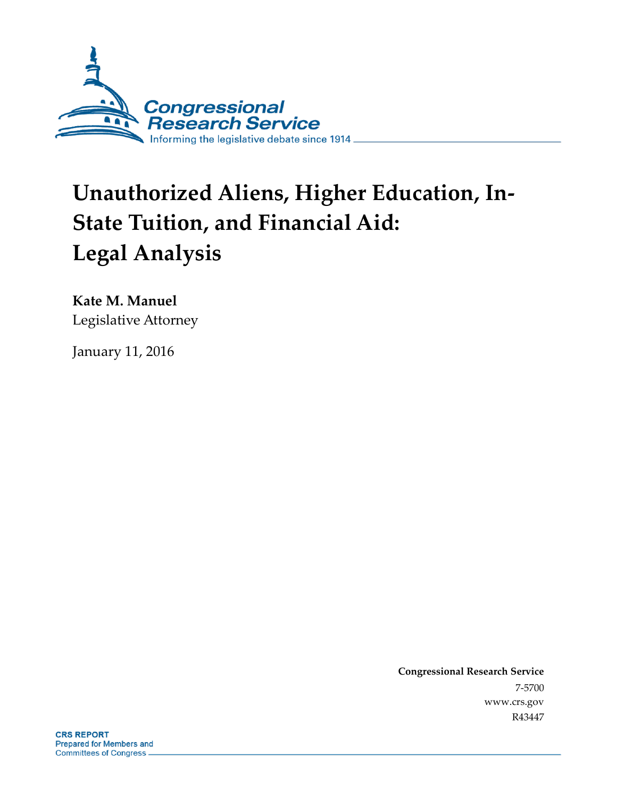

# **Unauthorized Aliens, Higher Education, In-State Tuition, and Financial Aid: Legal Analysis**

**Kate M. Manuel** Legislative Attorney

January 11, 2016

**Congressional Research Service** 7-5700 www.crs.gov R43447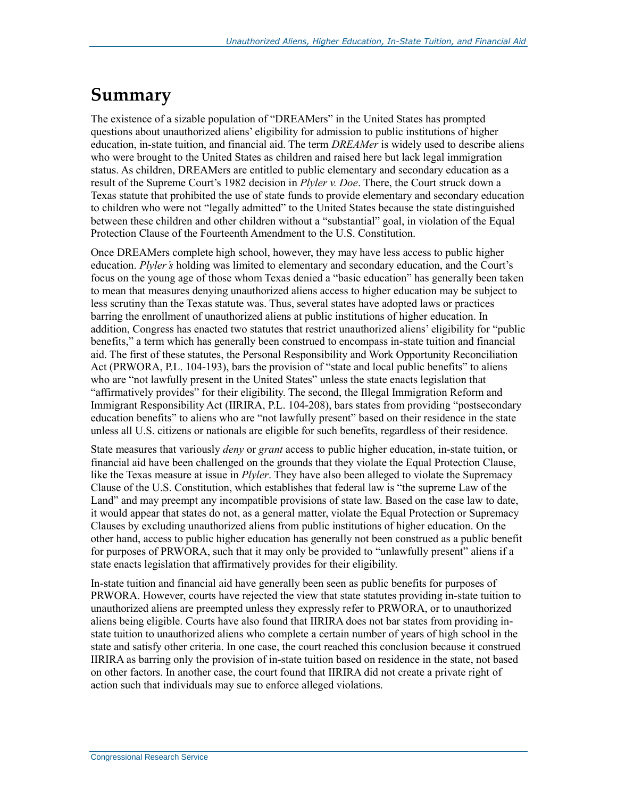# **Summary**

The existence of a sizable population of "DREAMers" in the United States has prompted questions about unauthorized aliens' eligibility for admission to public institutions of higher education, in-state tuition, and financial aid. The term *DREAMer* is widely used to describe aliens who were brought to the United States as children and raised here but lack legal immigration status. As children, DREAMers are entitled to public elementary and secondary education as a result of the Supreme Court's 1982 decision in *Plyler v. Doe*. There, the Court struck down a Texas statute that prohibited the use of state funds to provide elementary and secondary education to children who were not "legally admitted" to the United States because the state distinguished between these children and other children without a "substantial" goal, in violation of the Equal Protection Clause of the Fourteenth Amendment to the U.S. Constitution.

Once DREAMers complete high school, however, they may have less access to public higher education. *Plyler's* holding was limited to elementary and secondary education, and the Court's focus on the young age of those whom Texas denied a "basic education" has generally been taken to mean that measures denying unauthorized aliens access to higher education may be subject to less scrutiny than the Texas statute was. Thus, several states have adopted laws or practices barring the enrollment of unauthorized aliens at public institutions of higher education. In addition, Congress has enacted two statutes that restrict unauthorized aliens' eligibility for "public benefits," a term which has generally been construed to encompass in-state tuition and financial aid. The first of these statutes, the Personal Responsibility and Work Opportunity Reconciliation Act (PRWORA, P.L. 104-193), bars the provision of "state and local public benefits" to aliens who are "not lawfully present in the United States" unless the state enacts legislation that "affirmatively provides" for their eligibility. The second, the Illegal Immigration Reform and Immigrant Responsibility Act (IIRIRA, P.L. 104-208), bars states from providing "postsecondary education benefits" to aliens who are "not lawfully present" based on their residence in the state unless all U.S. citizens or nationals are eligible for such benefits, regardless of their residence.

State measures that variously *deny* or *grant* access to public higher education, in-state tuition, or financial aid have been challenged on the grounds that they violate the Equal Protection Clause, like the Texas measure at issue in *Plyler*. They have also been alleged to violate the Supremacy Clause of the U.S. Constitution, which establishes that federal law is "the supreme Law of the Land" and may preempt any incompatible provisions of state law. Based on the case law to date, it would appear that states do not, as a general matter, violate the Equal Protection or Supremacy Clauses by excluding unauthorized aliens from public institutions of higher education. On the other hand, access to public higher education has generally not been construed as a public benefit for purposes of PRWORA, such that it may only be provided to "unlawfully present" aliens if a state enacts legislation that affirmatively provides for their eligibility.

In-state tuition and financial aid have generally been seen as public benefits for purposes of PRWORA. However, courts have rejected the view that state statutes providing in-state tuition to unauthorized aliens are preempted unless they expressly refer to PRWORA, or to unauthorized aliens being eligible. Courts have also found that IIRIRA does not bar states from providing instate tuition to unauthorized aliens who complete a certain number of years of high school in the state and satisfy other criteria. In one case, the court reached this conclusion because it construed IIRIRA as barring only the provision of in-state tuition based on residence in the state, not based on other factors. In another case, the court found that IIRIRA did not create a private right of action such that individuals may sue to enforce alleged violations.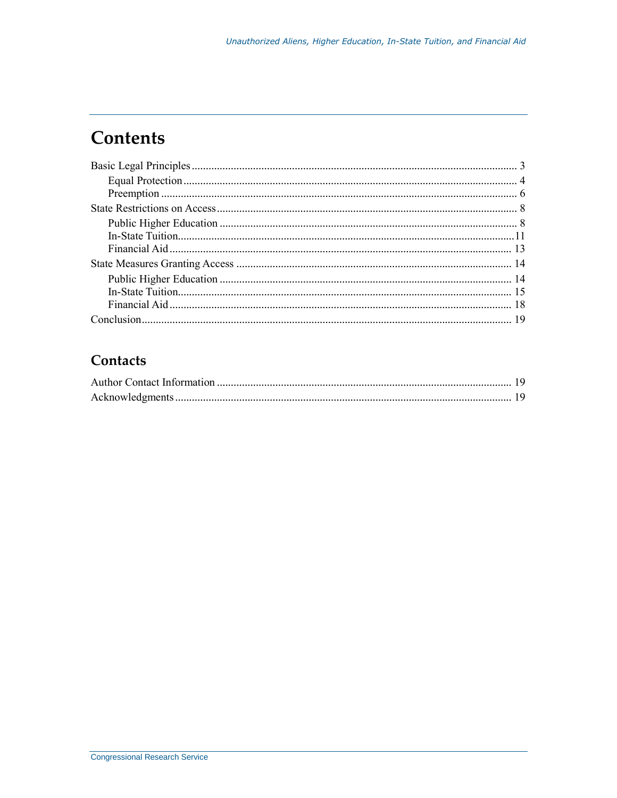# **Contents**

#### Contacts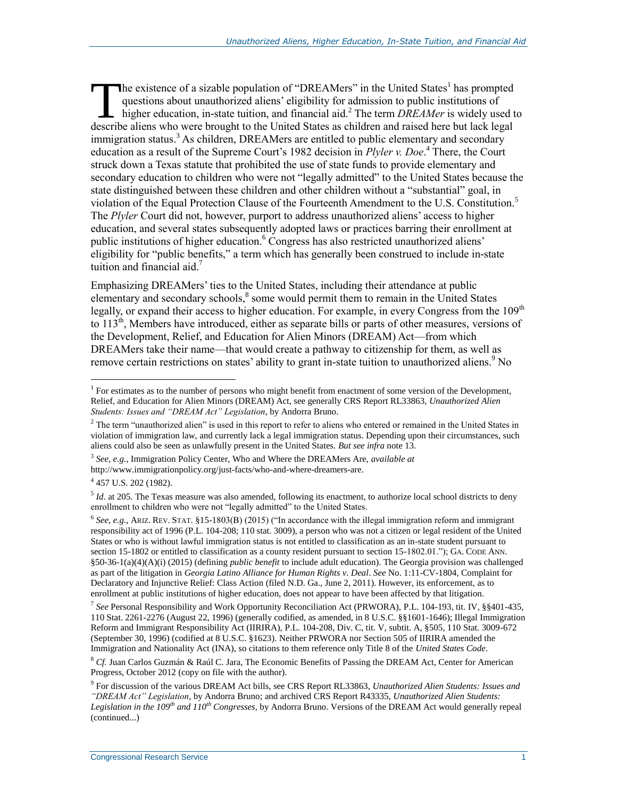he existence of a sizable population of "DREAMers" in the United States<sup>1</sup> has prompted questions about unauthorized aliens' eligibility for admission to public institutions of higher education, in-state tuition, and financial aid.<sup>2</sup> The term *DREAMer* is widely used to The existence of a sizable population of "DREAMers" in the United States<sup>1</sup> has prompted questions about unauthorized aliens' eligibility for admission to public institutions of higher education, in-state tuition, and fina immigration status.<sup>3</sup> As children, DREAMers are entitled to public elementary and secondary education as a result of the Supreme Court's 1982 decision in *Plyler v. Doe*. <sup>4</sup> There, the Court struck down a Texas statute that prohibited the use of state funds to provide elementary and secondary education to children who were not "legally admitted" to the United States because the state distinguished between these children and other children without a "substantial" goal, in violation of the Equal Protection Clause of the Fourteenth Amendment to the U.S. Constitution.<sup>5</sup> The *Plyler* Court did not, however, purport to address unauthorized aliens' access to higher education, and several states subsequently adopted laws or practices barring their enrollment at public institutions of higher education.<sup>6</sup> Congress has also restricted unauthorized aliens' eligibility for "public benefits," a term which has generally been construed to include in-state tuition and financial aid. $<sup>7</sup>$ </sup>

Emphasizing DREAMers' ties to the United States, including their attendance at public elementary and secondary schools,<sup>8</sup> some would permit them to remain in the United States legally, or expand their access to higher education. For example, in every Congress from the 109<sup>th</sup> to 113<sup>th</sup>, Members have introduced, either as separate bills or parts of other measures, versions of the Development, Relief, and Education for Alien Minors (DREAM) Act—from which DREAMers take their name—that would create a pathway to citizenship for them, as well as remove certain restrictions on states' ability to grant in-state tuition to unauthorized aliens.<sup>9</sup> No

3 *See, e.g.*, Immigration Policy Center, Who and Where the DREAMers Are, *available at* 

<sup>4</sup> 457 U.S. 202 (1982).

 $\overline{a}$ 

<sup>5</sup> *Id.* at 205. The Texas measure was also amended, following its enactment, to authorize local school districts to deny enrollment to children who were not "legally admitted" to the United States.

7 *See* Personal Responsibility and Work Opportunity Reconciliation Act (PRWORA), P.L. 104-193, tit. IV, §§401-435, 110 Stat. 2261-2276 (August 22, 1996) (generally codified, as amended, in 8 U.S.C. §§1601-1646); Illegal Immigration Reform and Immigrant Responsibility Act (IIRIRA), P.L. 104-208, Div. C, tit. V, subtit. A, §505, 110 Stat. 3009-672 (September 30, 1996) (codified at 8 U.S.C. §1623). Neither PRWORA nor Section 505 of IIRIRA amended the Immigration and Nationality Act (INA), so citations to them reference only Title 8 of the *United States Code*.

<sup>8</sup> *Cf.* Juan Carlos Guzmán & Raúl C. Jara, The Economic Benefits of Passing the DREAM Act, Center for American Progress, October 2012 (copy on file with the author).

<sup>&</sup>lt;sup>1</sup> For estimates as to the number of persons who might benefit from enactment of some version of the Development, Relief, and Education for Alien Minors (DREAM) Act, see generally CRS Report RL33863, *Unauthorized Alien Students: Issues and "DREAM Act" Legislation*, by Andorra Bruno.

 $2$  The term "unauthorized alien" is used in this report to refer to aliens who entered or remained in the United States in violation of immigration law, and currently lack a legal immigration status. Depending upon their circumstances, such aliens could also be seen as unlawfully present in the United States. *But see infra* not[e 13.](#page-4-0)

http://www.immigrationpolicy.org/just-facts/who-and-where-dreamers-are.

<sup>6</sup> *See, e.g.*, ARIZ. REV. STAT. §15-1803(B) (2015) ("In accordance with the illegal immigration reform and immigrant responsibility act of 1996 (P.L. 104-208; 110 stat. 3009), a person who was not a citizen or legal resident of the United States or who is without lawful immigration status is not entitled to classification as an in-state student pursuant to section 15-1802 or entitled to classification as a county resident pursuant to section 15-1802.01."); GA. CODE ANN. §50-36-1(a)(4)(A)(i) (2015) (defining *public benefit* to include adult education). The Georgia provision was challenged as part of the litigation in *Georgia Latino Alliance for Human Rights v. Deal*. *See* No. 1:11-CV-1804, Complaint for Declaratory and Injunctive Relief: Class Action (filed N.D. Ga., June 2, 2011). However, its enforcement, as to enrollment at public institutions of higher education, does not appear to have been affected by that litigation.

<sup>9</sup> For discussion of the various DREAM Act bills, see CRS Report RL33863, *Unauthorized Alien Students: Issues and "DREAM Act" Legislation*, by Andorra Bruno; and archived CRS Report R43335, *Unauthorized Alien Students: Legislation in the 109th and 110th Congresses*, by Andorra Bruno. Versions of the DREAM Act would generally repeal (continued...)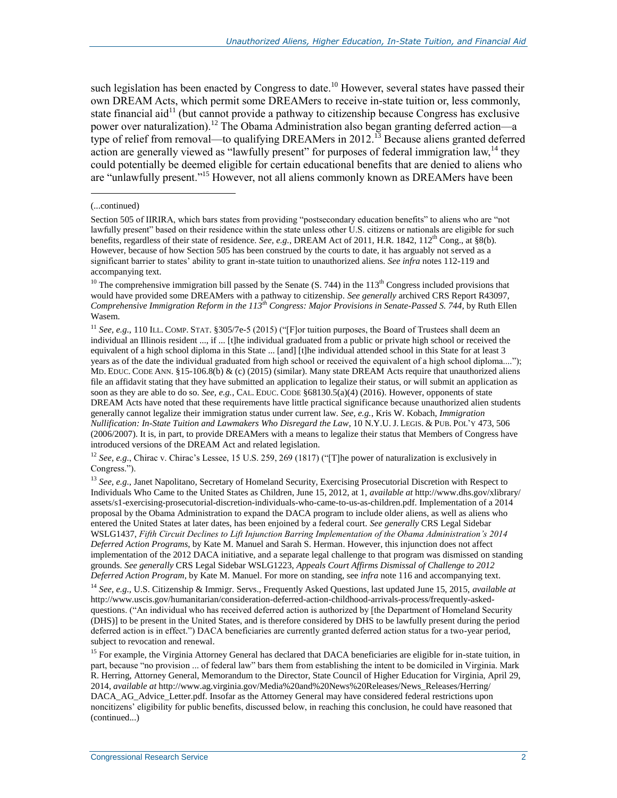such legislation has been enacted by Congress to date.<sup>10</sup> However, several states have passed their own DREAM Acts, which permit some DREAMers to receive in-state tuition or, less commonly, state financial aid<sup>11</sup> (but cannot provide a pathway to citizenship because Congress has exclusive power over naturalization).<sup>12</sup> The Obama Administration also began granting deferred action—a type of relief from removal—to qualifying DREAMers in 2012.<sup>13</sup> Because aliens granted deferred action are generally viewed as "lawfully present" for purposes of federal immigration law,<sup>14</sup> they could potentially be deemed eligible for certain educational benefits that are denied to aliens who are "unlawfully present."<sup>15</sup> However, not all aliens commonly known as DREAMers have been

<span id="page-4-0"></span> $\overline{a}$ 

<sup>11</sup> *See, e.g.*, 110 ILL. COMP. STAT. §305/7e-5 (2015) ("[F]or tuition purposes, the Board of Trustees shall deem an individual an Illinois resident ..., if ... [t]he individual graduated from a public or private high school or received the equivalent of a high school diploma in this State ... [and] [t]he individual attended school in this State for at least 3 years as of the date the individual graduated from high school or received the equivalent of a high school diploma...."); MD. EDUC. CODE ANN. §15-106.8(b) & (c) (2015) (similar). Many state DREAM Acts require that unauthorized aliens file an affidavit stating that they have submitted an application to legalize their status, or will submit an application as soon as they are able to do so. *See, e.g.*, CAL. EDUC. CODE §68130.5(a)(4) (2016). However, opponents of state DREAM Acts have noted that these requirements have little practical significance because unauthorized alien students generally cannot legalize their immigration status under current law. *See, e.g.*, Kris W. Kobach, *Immigration Nullification: In-State Tuition and Lawmakers Who Disregard the Law*, 10 N.Y.U. J. LEGIS. & PUB. POL'Y 473, 506 (2006/2007). It is, in part, to provide DREAMers with a means to legalize their status that Members of Congress have introduced versions of the DREAM Act and related legislation.

<sup>12</sup> *See, e.g.*, Chirac v. Chirac's Lessee, 15 U.S. 259, 269 (1817) ("[T]he power of naturalization is exclusively in Congress.").

<sup>13</sup> See, e.g., Janet Napolitano, Secretary of Homeland Security, Exercising Prosecutorial Discretion with Respect to Individuals Who Came to the United States as Children, June 15, 2012, at 1, *available at* http://www.dhs.gov/xlibrary/ assets/s1-exercising-prosecutorial-discretion-individuals-who-came-to-us-as-children.pdf. Implementation of a 2014 proposal by the Obama Administration to expand the DACA program to include older aliens, as well as aliens who entered the United States at later dates, has been enjoined by a federal court. *See generally* CRS Legal Sidebar WSLG1437, *Fifth Circuit Declines to Lift Injunction Barring Implementation of the Obama Administration's 2014 Deferred Action Programs*, by Kate M. Manuel and Sarah S. Herman. However, this injunction does not affect implementation of the 2012 DACA initiative, and a separate legal challenge to that program was dismissed on standing grounds. *See generally* CRS Legal Sidebar WSLG1223, *Appeals Court Affirms Dismissal of Challenge to 2012 Deferred Action Program*, by Kate M. Manuel. For more on standing, see *infra* not[e 116](#page-19-0) and accompanying text.

<sup>14</sup> *See, e.g.,* U.S. Citizenship & Immigr. Servs., Frequently Asked Questions, last updated June 15, 2015, *available at*  http://www.uscis.gov/humanitarian/consideration-deferred-action-childhood-arrivals-process/frequently-askedquestions. ("An individual who has received deferred action is authorized by [the Department of Homeland Security (DHS)] to be present in the United States, and is therefore considered by DHS to be lawfully present during the period deferred action is in effect.") DACA beneficiaries are currently granted deferred action status for a two-year period, subject to revocation and renewal.

<sup>15</sup> For example, the Virginia Attorney General has declared that DACA beneficiaries are eligible for in-state tuition, in part, because "no provision ... of federal law" bars them from establishing the intent to be domiciled in Virginia. Mark R. Herring, Attorney General, Memorandum to the Director, State Council of Higher Education for Virginia, April 29, 2014, *available at* http://www.ag.virginia.gov/Media%20and%20News%20Releases/News\_Releases/Herring/ DACA\_AG\_Advice\_Letter.pdf. Insofar as the Attorney General may have considered federal restrictions upon noncitizens' eligibility for public benefits, discussed below, in reaching this conclusion, he could have reasoned that (continued...)

<sup>(...</sup>continued)

Section 505 of IIRIRA, which bars states from providing "postsecondary education benefits" to aliens who are "not lawfully present" based on their residence within the state unless other U.S. citizens or nationals are eligible for such benefits, regardless of their state of residence. *See, e.g.*, DREAM Act of 2011, H.R. 1842, 112<sup>th</sup> Cong., at §8(b). However, because of how Section 505 has been construed by the courts to date, it has arguably not served as a significant barrier to states' ability to grant in-state tuition to unauthorized aliens. *See infra* notes 112-119 and accompanying text.

<sup>&</sup>lt;sup>10</sup> The comprehensive immigration bill passed by the Senate  $(S, 744)$  in the 113<sup>th</sup> Congress included provisions that would have provided some DREAMers with a pathway to citizenship. *See generally* archived CRS Report R43097, *Comprehensive Immigration Reform in the 113th Congress: Major Provisions in Senate-Passed S. 744*, by Ruth Ellen Wasem.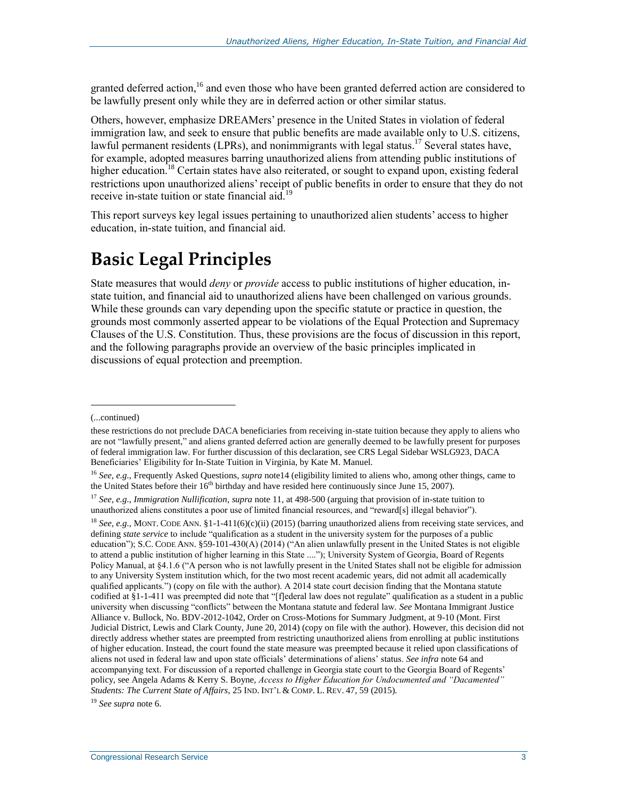granted deferred action,<sup>16</sup> and even those who have been granted deferred action are considered to be lawfully present only while they are in deferred action or other similar status.

Others, however, emphasize DREAMers' presence in the United States in violation of federal immigration law, and seek to ensure that public benefits are made available only to U.S. citizens, lawful permanent residents (LPRs), and nonimmigrants with legal status.<sup>17</sup> Several states have, for example, adopted measures barring unauthorized aliens from attending public institutions of higher education.<sup>18</sup> Certain states have also reiterated, or sought to expand upon, existing federal restrictions upon unauthorized aliens' receipt of public benefits in order to ensure that they do not receive in-state tuition or state financial aid.<sup>19</sup>

<span id="page-5-0"></span>This report surveys key legal issues pertaining to unauthorized alien students' access to higher education, in-state tuition, and financial aid.

# **Basic Legal Principles**

State measures that would *deny* or *provide* access to public institutions of higher education, instate tuition, and financial aid to unauthorized aliens have been challenged on various grounds. While these grounds can vary depending upon the specific statute or practice in question, the grounds most commonly asserted appear to be violations of the Equal Protection and Supremacy Clauses of the U.S. Constitution. Thus, these provisions are the focus of discussion in this report, and the following paragraphs provide an overview of the basic principles implicated in discussions of equal protection and preemption.

<sup>(...</sup>continued)

these restrictions do not preclude DACA beneficiaries from receiving in-state tuition because they apply to aliens who are not "lawfully present," and aliens granted deferred action are generally deemed to be lawfully present for purposes of federal immigration law. For further discussion of this declaration, see CRS Legal Sidebar WSLG923, DACA Beneficiaries' Eligibility for In-State Tuition in Virginia, by Kate M. Manuel.

<sup>16</sup> *See, e.g.*, Frequently Asked Questions, *supra* note14 (eligibility limited to aliens who, among other things, came to the United States before their  $16<sup>th</sup>$  birthday and have resided here continuously since June 15, 2007).

<sup>17</sup> *See, e.g.*, *Immigration Nullification*, *supra* note 11, at 498-500 (arguing that provision of in-state tuition to unauthorized aliens constitutes a poor use of limited financial resources, and "reward[s] illegal behavior").

<sup>&</sup>lt;sup>18</sup> *See, e.g.*, MONT. CODE ANN. §1-1-411(6)(c)(ii) (2015) (barring unauthorized aliens from receiving state services, and defining *state service* to include "qualification as a student in the university system for the purposes of a public education"); S.C. CODE ANN. §59-101-430(A) (2014) ("An alien unlawfully present in the United States is not eligible to attend a public institution of higher learning in this State ...."); University System of Georgia, Board of Regents Policy Manual, at §4.1.6 ("A person who is not lawfully present in the United States shall not be eligible for admission to any University System institution which, for the two most recent academic years, did not admit all academically qualified applicants.") (copy on file with the author). A 2014 state court decision finding that the Montana statute codified at §1-1-411 was preempted did note that "[f]ederal law does not regulate" qualification as a student in a public university when discussing "conflicts" between the Montana statute and federal law. *See* Montana Immigrant Justice Alliance v. Bullock, No. BDV-2012-1042, Order on Cross-Motions for Summary Judgment, at 9-10 (Mont. First Judicial District, Lewis and Clark County, June 20, 2014) (copy on file with the author). However, this decision did not directly address whether states are preempted from restricting unauthorized aliens from enrolling at public institutions of higher education. Instead, the court found the state measure was preempted because it relied upon classifications of aliens not used in federal law and upon state officials' determinations of aliens' status. *See infra* note 64 and accompanying text. For discussion of a reported challenge in Georgia state court to the Georgia Board of Regents' policy, see Angela Adams & Kerry S. Boyne, *Access to Higher Education for Undocumented and "Dacamented" Students: The Current State of Affairs*, 25 IND. INT'L & COMP. L. REV. 47, 59 (2015).

<sup>19</sup> *See supra* note 6.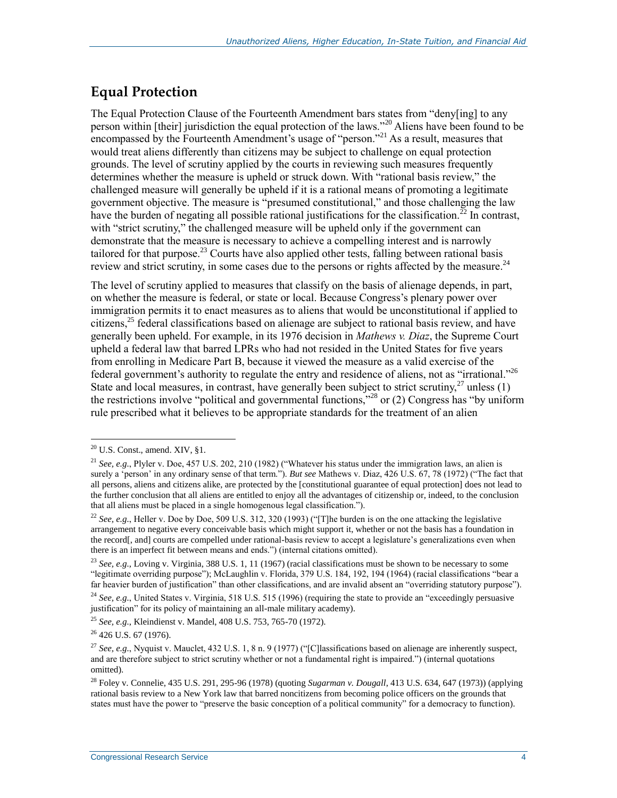### **Equal Protection**

The Equal Protection Clause of the Fourteenth Amendment bars states from "deny[ing] to any person within [their] jurisdiction the equal protection of the laws."<sup>20</sup> Aliens have been found to be encompassed by the Fourteenth Amendment's usage of "person."<sup>21</sup> As a result, measures that would treat aliens differently than citizens may be subject to challenge on equal protection grounds. The level of scrutiny applied by the courts in reviewing such measures frequently determines whether the measure is upheld or struck down. With "rational basis review," the challenged measure will generally be upheld if it is a rational means of promoting a legitimate government objective. The measure is "presumed constitutional," and those challenging the law have the burden of negating all possible rational justifications for the classification.<sup>22</sup> In contrast, with "strict scrutiny," the challenged measure will be upheld only if the government can demonstrate that the measure is necessary to achieve a compelling interest and is narrowly tailored for that purpose.<sup>23</sup> Courts have also applied other tests, falling between rational basis review and strict scrutiny, in some cases due to the persons or rights affected by the measure.<sup>24</sup>

The level of scrutiny applied to measures that classify on the basis of alienage depends, in part, on whether the measure is federal, or state or local. Because Congress's plenary power over immigration permits it to enact measures as to aliens that would be unconstitutional if applied to citizens,<sup>25</sup> federal classifications based on alienage are subject to rational basis review, and have generally been upheld. For example, in its 1976 decision in *Mathews v. Diaz*, the Supreme Court upheld a federal law that barred LPRs who had not resided in the United States for five years from enrolling in Medicare Part B, because it viewed the measure as a valid exercise of the federal government's authority to regulate the entry and residence of aliens, not as "irrational."<sup>26</sup> State and local measures, in contrast, have generally been subject to strict scrutiny,  $27$  unless (1) the restrictions involve "political and governmental functions,"<sup>28</sup> or (2) Congress has "by uniform" rule prescribed what it believes to be appropriate standards for the treatment of an alien

 $^{20}$  U.S. Const., amend. XIV,  $\S1$ .

<sup>21</sup> *See, e.g.*, Plyler v. Doe, 457 U.S. 202, 210 (1982) ("Whatever his status under the immigration laws, an alien is surely a 'person' in any ordinary sense of that term."). *But see* Mathews v. Diaz, 426 U.S. 67, 78 (1972) ("The fact that all persons, aliens and citizens alike, are protected by the [constitutional guarantee of equal protection] does not lead to the further conclusion that all aliens are entitled to enjoy all the advantages of citizenship or, indeed, to the conclusion that all aliens must be placed in a single homogenous legal classification.").

<sup>22</sup> *See, e.g.*, Heller v. Doe by Doe, 509 U.S. 312, 320 (1993) ("[T]he burden is on the one attacking the legislative arrangement to negative every conceivable basis which might support it, whether or not the basis has a foundation in the record[, and] courts are compelled under rational-basis review to accept a legislature's generalizations even when there is an imperfect fit between means and ends.") (internal citations omitted).

<sup>&</sup>lt;sup>23</sup> See, e.g., Loving v. Virginia, 388 U.S. 1, 11 (1967) (racial classifications must be shown to be necessary to some "legitimate overriding purpose"); McLaughlin v. Florida, 379 U.S. 184, 192, 194 (1964) (racial classifications "bear a far heavier burden of justification" than other classifications, and are invalid absent an "overriding statutory purpose").

<sup>24</sup> *See, e.g.*, United States v. Virginia, 518 U.S. 515 (1996) (requiring the state to provide an "exceedingly persuasive justification" for its policy of maintaining an all-male military academy).

<sup>25</sup> *See, e.g.*, Kleindienst v. Mandel, 408 U.S. 753, 765-70 (1972).

<sup>&</sup>lt;sup>26</sup> 426 U.S. 67 (1976).

<sup>&</sup>lt;sup>27</sup> *See, e.g.*, Nyquist v. Mauclet, 432 U.S. 1, 8 n. 9 (1977) ("[C] lassifications based on alienage are inherently suspect, and are therefore subject to strict scrutiny whether or not a fundamental right is impaired.") (internal quotations omitted).

<sup>28</sup> Foley v. Connelie, 435 U.S. 291, 295-96 (1978) (quoting *Sugarman v. Dougall*, 413 U.S. 634, 647 (1973)) (applying rational basis review to a New York law that barred noncitizens from becoming police officers on the grounds that states must have the power to "preserve the basic conception of a political community" for a democracy to function).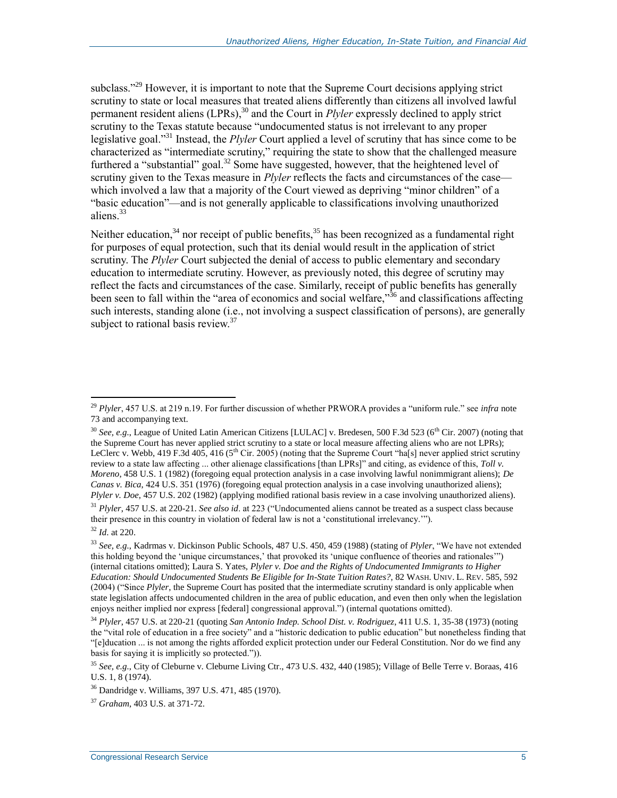subclass."<sup>29</sup> However, it is important to note that the Supreme Court decisions applying strict scrutiny to state or local measures that treated aliens differently than citizens all involved lawful permanent resident aliens (LPRs),<sup>30</sup> and the Court in *Plyler* expressly declined to apply strict scrutiny to the Texas statute because "undocumented status is not irrelevant to any proper legislative goal."<sup>31</sup> Instead, the *Plyler* Court applied a level of scrutiny that has since come to be characterized as "intermediate scrutiny," requiring the state to show that the challenged measure furthered a "substantial" goal.<sup>32</sup> Some have suggested, however, that the heightened level of scrutiny given to the Texas measure in *Plyler* reflects the facts and circumstances of the case which involved a law that a majority of the Court viewed as depriving "minor children" of a "basic education"—and is not generally applicable to classifications involving unauthorized aliens.<sup>33</sup>

Neither education, $34$  nor receipt of public benefits, $35$  has been recognized as a fundamental right for purposes of equal protection, such that its denial would result in the application of strict scrutiny. The *Plyler* Court subjected the denial of access to public elementary and secondary education to intermediate scrutiny. However, as previously noted, this degree of scrutiny may reflect the facts and circumstances of the case. Similarly, receipt of public benefits has generally been seen to fall within the "area of economics and social welfare,"<sup>36</sup> and classifications affecting such interests, standing alone (i.e., not involving a suspect classification of persons), are generally subject to rational basis review. $37$ 

<sup>29</sup> *Plyler*, 457 U.S. at 219 n.19. For further discussion of whether PRWORA provides a "uniform rule." see *infra* note 73 and accompanying text.

<sup>&</sup>lt;sup>30</sup> *See, e.g.*, League of United Latin American Citizens [LULAC] v. Bredesen, 500 F.3d 523 (6<sup>th</sup> Cir. 2007) (noting that the Supreme Court has never applied strict scrutiny to a state or local measure affecting aliens who are not LPRs); LeClerc v. Webb, 419 F.3d 405, 416 (5<sup>th</sup> Cir. 2005) (noting that the Supreme Court "ha[s] never applied strict scrutiny review to a state law affecting ... other alienage classifications [than LPRs]" and citing, as evidence of this, *Toll v. Moreno*, 458 U.S. 1 (1982) (foregoing equal protection analysis in a case involving lawful nonimmigrant aliens); *De Canas v. Bica*, 424 U.S. 351 (1976) (foregoing equal protection analysis in a case involving unauthorized aliens); *Plyler v. Doe*, 457 U.S. 202 (1982) (applying modified rational basis review in a case involving unauthorized aliens).

<sup>31</sup> *Plyler*, 457 U.S. at 220-21. *See also id*. at 223 ("Undocumented aliens cannot be treated as a suspect class because their presence in this country in violation of federal law is not a 'constitutional irrelevancy.'").

<sup>32</sup> *Id*. at 220.

<sup>33</sup> *See, e.g.*, Kadrmas v. Dickinson Public Schools, 487 U.S. 450, 459 (1988) (stating of *Plyler*, "We have not extended this holding beyond the 'unique circumstances,' that provoked its 'unique confluence of theories and rationales'") (internal citations omitted); Laura S. Yates, *Plyler v. Doe and the Rights of Undocumented Immigrants to Higher Education: Should Undocumented Students Be Eligible for In-State Tuition Rates?*, 82 WASH. UNIV. L. REV. 585, 592 (2004) ("Since *Plyler*, the Supreme Court has posited that the intermediate scrutiny standard is only applicable when state legislation affects undocumented children in the area of public education, and even then only when the legislation enjoys neither implied nor express [federal] congressional approval.") (internal quotations omitted).

<sup>34</sup> *Plyler*, 457 U.S. at 220-21 (quoting *San Antonio Indep. School Dist. v. Rodriguez*, 411 U.S. 1, 35-38 (1973) (noting the "vital role of education in a free society" and a "historic dedication to public education" but nonetheless finding that "[e]ducation ... is not among the rights afforded explicit protection under our Federal Constitution. Nor do we find any basis for saying it is implicitly so protected.")).

<sup>35</sup> *See, e.g.*, City of Cleburne v. Cleburne Living Ctr., 473 U.S. 432, 440 (1985); Village of Belle Terre v. Boraas, 416 U.S. 1, 8 (1974).

<sup>36</sup> Dandridge v. Williams, 397 U.S. 471, 485 (1970).

<sup>37</sup> *Graham*, 403 U.S. at 371-72.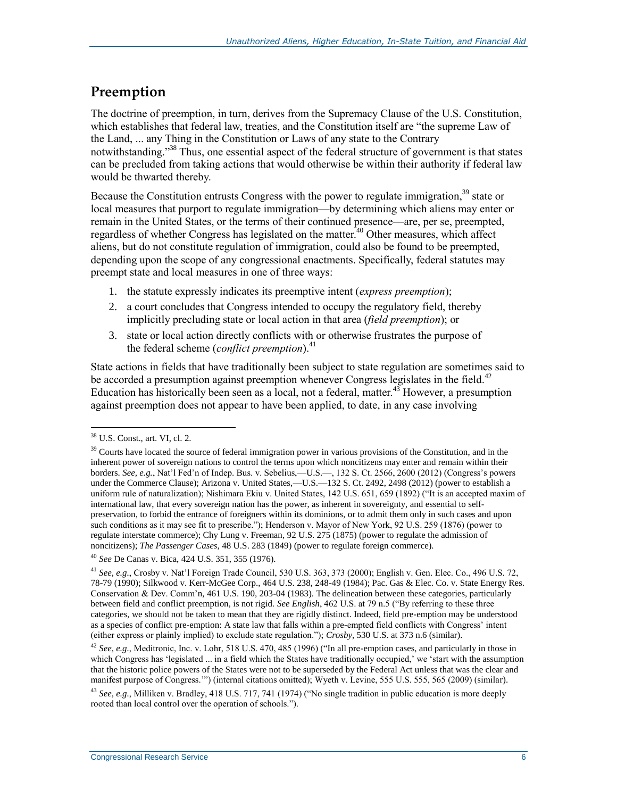### **Preemption**

The doctrine of preemption, in turn, derives from the Supremacy Clause of the U.S. Constitution, which establishes that federal law, treaties, and the Constitution itself are "the supreme Law of the Land, ... any Thing in the Constitution or Laws of any state to the Contrary notwithstanding."<sup>38</sup> Thus, one essential aspect of the federal structure of government is that states can be precluded from taking actions that would otherwise be within their authority if federal law would be thwarted thereby.

Because the Constitution entrusts Congress with the power to regulate immigration,<sup>39</sup> state or local measures that purport to regulate immigration—by determining which aliens may enter or remain in the United States, or the terms of their continued presence—are, per se, preempted, regardless of whether Congress has legislated on the matter.<sup>40</sup> Other measures, which affect aliens, but do not constitute regulation of immigration, could also be found to be preempted, depending upon the scope of any congressional enactments. Specifically, federal statutes may preempt state and local measures in one of three ways:

- 1. the statute expressly indicates its preemptive intent (*express preemption*);
- 2. a court concludes that Congress intended to occupy the regulatory field, thereby implicitly precluding state or local action in that area (*field preemption*); or
- 3. state or local action directly conflicts with or otherwise frustrates the purpose of the federal scheme (*conflict preemption*).<sup>41</sup>

State actions in fields that have traditionally been subject to state regulation are sometimes said to be accorded a presumption against preemption whenever Congress legislates in the field.<sup>42</sup> Education has historically been seen as a local, not a federal, matter.<sup>43</sup> However, a presumption against preemption does not appear to have been applied, to date, in any case involving

<sup>40</sup> *See* De Canas v. Bica, 424 U.S. 351, 355 (1976).

 $\overline{a}$ <sup>38</sup> U.S. Const., art. VI, cl. 2.

<sup>&</sup>lt;sup>39</sup> Courts have located the source of federal immigration power in various provisions of the Constitution, and in the inherent power of sovereign nations to control the terms upon which noncitizens may enter and remain within their borders. *See, e.g.*, Nat'l Fed'n of Indep. Bus. v. Sebelius,—U.S.—, 132 S. Ct. 2566, 2600 (2012) (Congress's powers under the Commerce Clause); Arizona v. United States,—U.S.—132 S. Ct. 2492, 2498 (2012) (power to establish a uniform rule of naturalization); Nishimara Ekiu v. United States, 142 U.S. 651, 659 (1892) ("It is an accepted maxim of international law, that every sovereign nation has the power, as inherent in sovereignty, and essential to selfpreservation, to forbid the entrance of foreigners within its dominions, or to admit them only in such cases and upon such conditions as it may see fit to prescribe."); Henderson v. Mayor of New York, 92 U.S. 259 (1876) (power to regulate interstate commerce); Chy Lung v. Freeman, 92 U.S. 275 (1875) (power to regulate the admission of noncitizens); *The Passenger Cases*, 48 U.S. 283 (1849) (power to regulate foreign commerce).

<sup>41</sup> *See, e.g.*, Crosby v. Nat'l Foreign Trade Council, 530 U.S. 363, 373 (2000); English v. Gen. Elec. Co., 496 U.S. 72, 78-79 (1990); Silkwood v. Kerr-McGee Corp., 464 U.S. 238, 248-49 (1984); Pac. Gas & Elec. Co. v. State Energy Res. Conservation & Dev. Comm'n, 461 U.S. 190, 203-04 (1983). The delineation between these categories, particularly between field and conflict preemption, is not rigid. *See English*, 462 U.S. at 79 n.5 ("By referring to these three categories, we should not be taken to mean that they are rigidly distinct. Indeed, field pre-emption may be understood as a species of conflict pre-emption: A state law that falls within a pre-empted field conflicts with Congress' intent (either express or plainly implied) to exclude state regulation."); *Crosby*, 530 U.S. at 373 n.6 (similar).

<sup>42</sup> *See, e.g.*, Meditronic, Inc. v. Lohr, 518 U.S. 470, 485 (1996) ("In all pre-emption cases, and particularly in those in which Congress has 'legislated ... in a field which the States have traditionally occupied,' we 'start with the assumption that the historic police powers of the States were not to be superseded by the Federal Act unless that was the clear and manifest purpose of Congress.'") (internal citations omitted); Wyeth v. Levine, 555 U.S. 555, 565 (2009) (similar).

<sup>43</sup> *See, e.g.*, Milliken v. Bradley, 418 U.S. 717, 741 (1974) ("No single tradition in public education is more deeply rooted than local control over the operation of schools.").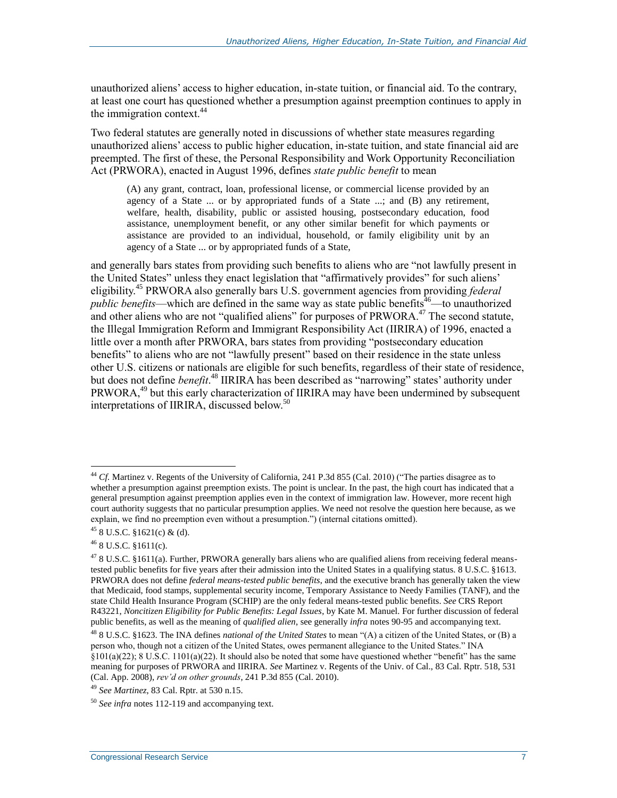unauthorized aliens' access to higher education, in-state tuition, or financial aid. To the contrary, at least one court has questioned whether a presumption against preemption continues to apply in the immigration context. $44$ 

Two federal statutes are generally noted in discussions of whether state measures regarding unauthorized aliens' access to public higher education, in-state tuition, and state financial aid are preempted. The first of these, the Personal Responsibility and Work Opportunity Reconciliation Act (PRWORA), enacted in August 1996, defines *state public benefit* to mean

(A) any grant, contract, loan, professional license, or commercial license provided by an agency of a State ... or by appropriated funds of a State ...; and (B) any retirement, welfare, health, disability, public or assisted housing, postsecondary education, food assistance, unemployment benefit, or any other similar benefit for which payments or assistance are provided to an individual, household, or family eligibility unit by an agency of a State ... or by appropriated funds of a State,

and generally bars states from providing such benefits to aliens who are "not lawfully present in the United States" unless they enact legislation that "affirmatively provides" for such aliens' eligibility.<sup>45</sup> PRWORA also generally bars U.S. government agencies from providing *federal public benefits*—which are defined in the same way as state public benefits<sup> $46$ </sup>—to unauthorized and other aliens who are not "qualified aliens" for purposes of  $PRWORA$ .<sup>47</sup> The second statute, the Illegal Immigration Reform and Immigrant Responsibility Act (IIRIRA) of 1996, enacted a little over a month after PRWORA, bars states from providing "postsecondary education benefits" to aliens who are not "lawfully present" based on their residence in the state unless other U.S. citizens or nationals are eligible for such benefits, regardless of their state of residence, but does not define *benefit*. <sup>48</sup> IIRIRA has been described as "narrowing" states' authority under PRWORA,<sup>49</sup> but this early characterization of IIRIRA may have been undermined by subsequent interpretations of IIRIRA, discussed below.<sup>50</sup>

<sup>44</sup> *Cf.* Martinez v. Regents of the University of California, 241 P.3d 855 (Cal. 2010) ("The parties disagree as to whether a presumption against preemption exists. The point is unclear. In the past, the high court has indicated that a general presumption against preemption applies even in the context of immigration law. However, more recent high court authority suggests that no particular presumption applies. We need not resolve the question here because, as we explain, we find no preemption even without a presumption.") (internal citations omitted).

 $458$  U.S.C. §1621(c) & (d).

 $46$  8 U.S.C. §1611(c).

<sup>&</sup>lt;sup>47</sup> 8 U.S.C. §1611(a). Further, PRWORA generally bars aliens who are qualified aliens from receiving federal meanstested public benefits for five years after their admission into the United States in a qualifying status. 8 U.S.C. §1613. PRWORA does not define *federal means-tested public benefits*, and the executive branch has generally taken the view that Medicaid, food stamps, supplemental security income, Temporary Assistance to Needy Families (TANF), and the state Child Health Insurance Program (SCHIP) are the only federal means-tested public benefits. *See* CRS Report R43221, *Noncitizen Eligibility for Public Benefits: Legal Issues*, by Kate M. Manuel. For further discussion of federal public benefits, as well as the meaning of *qualified alien*, see generally *infra* notes 90-95 and accompanying text.

<sup>48</sup> 8 U.S.C. §1623. The INA defines *national of the United States* to mean "(A) a citizen of the United States, or (B) a person who, though not a citizen of the United States, owes permanent allegiance to the United States." INA  $§101(a)(22)$ ; 8 U.S.C. 1101(a)(22). It should also be noted that some have questioned whether "benefit" has the same

meaning for purposes of PRWORA and IIRIRA. *See* Martinez v. Regents of the Univ. of Cal., 83 Cal. Rptr. 518, 531 (Cal. App. 2008), *rev'd on other grounds*, 241 P.3d 855 (Cal. 2010).

<sup>49</sup> *See Martinez*, 83 Cal. Rptr. at 530 n.15.

<sup>50</sup> *See infra* notes 112-119 and accompanying text.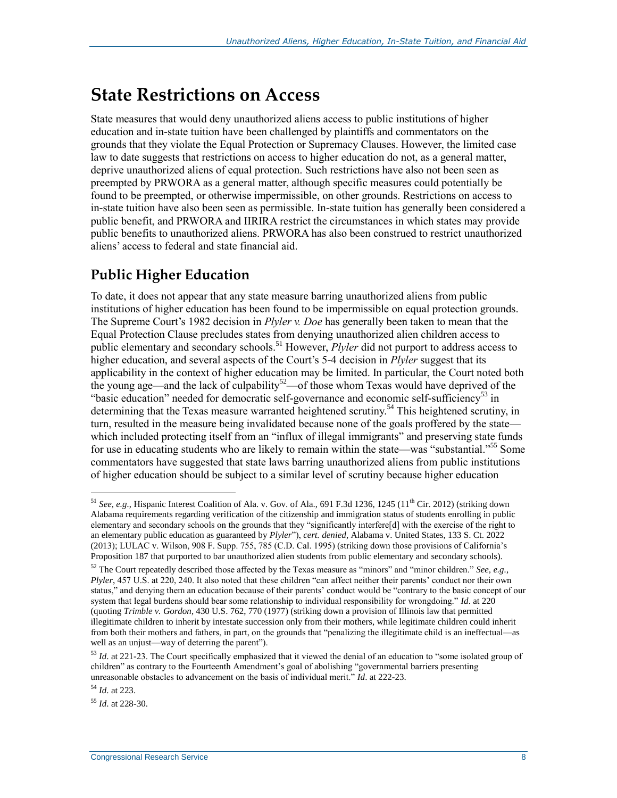# **State Restrictions on Access**

State measures that would deny unauthorized aliens access to public institutions of higher education and in-state tuition have been challenged by plaintiffs and commentators on the grounds that they violate the Equal Protection or Supremacy Clauses. However, the limited case law to date suggests that restrictions on access to higher education do not, as a general matter, deprive unauthorized aliens of equal protection. Such restrictions have also not been seen as preempted by PRWORA as a general matter, although specific measures could potentially be found to be preempted, or otherwise impermissible, on other grounds. Restrictions on access to in-state tuition have also been seen as permissible. In-state tuition has generally been considered a public benefit, and PRWORA and IIRIRA restrict the circumstances in which states may provide public benefits to unauthorized aliens. PRWORA has also been construed to restrict unauthorized aliens' access to federal and state financial aid.

### **Public Higher Education**

To date, it does not appear that any state measure barring unauthorized aliens from public institutions of higher education has been found to be impermissible on equal protection grounds. The Supreme Court's 1982 decision in *Plyler v. Doe* has generally been taken to mean that the Equal Protection Clause precludes states from denying unauthorized alien children access to public elementary and secondary schools.<sup>51</sup> However, *Plyler* did not purport to address access to higher education, and several aspects of the Court's 5-4 decision in *Plyler* suggest that its applicability in the context of higher education may be limited. In particular, the Court noted both the young age—and the lack of culpability<sup>52</sup>—of those whom Texas would have deprived of the "basic education" needed for democratic self-governance and economic self-sufficiency<sup>53</sup> in determining that the Texas measure warranted heightened scrutiny.<sup>54</sup> This heightened scrutiny, in turn, resulted in the measure being invalidated because none of the goals proffered by the state which included protecting itself from an "influx of illegal immigrants" and preserving state funds for use in educating students who are likely to remain within the state—was "substantial."<sup>55</sup> Some commentators have suggested that state laws barring unauthorized aliens from public institutions of higher education should be subject to a similar level of scrutiny because higher education

<sup>&</sup>lt;sup>51</sup> *See, e.g.*, Hispanic Interest Coalition of Ala. v. Gov. of Ala., 691 F.3d 1236, 1245 (11<sup>th</sup> Cir. 2012) (striking down Alabama requirements regarding verification of the citizenship and immigration status of students enrolling in public elementary and secondary schools on the grounds that they "significantly interfere[d] with the exercise of the right to an elementary public education as guaranteed by *Plyler*"), *cert. denied*, Alabama v. United States, 133 S. Ct. 2022 (2013); LULAC v. Wilson, 908 F. Supp. 755, 785 (C.D. Cal. 1995) (striking down those provisions of California's Proposition 187 that purported to bar unauthorized alien students from public elementary and secondary schools).

<sup>52</sup> The Court repeatedly described those affected by the Texas measure as "minors" and "minor children." *See, e.g.*, *Plyler*, 457 U.S. at 220, 240. It also noted that these children "can affect neither their parents' conduct nor their own status," and denying them an education because of their parents' conduct would be "contrary to the basic concept of our system that legal burdens should bear some relationship to individual responsibility for wrongdoing." *Id*. at 220 (quoting *Trimble v. Gordon*, 430 U.S. 762, 770 (1977) (striking down a provision of Illinois law that permitted illegitimate children to inherit by intestate succession only from their mothers, while legitimate children could inherit from both their mothers and fathers, in part, on the grounds that "penalizing the illegitimate child is an ineffectual—as well as an unjust—way of deterring the parent").

<sup>53</sup> *Id*. at 221-23. The Court specifically emphasized that it viewed the denial of an education to "some isolated group of children" as contrary to the Fourteenth Amendment's goal of abolishing "governmental barriers presenting unreasonable obstacles to advancement on the basis of individual merit." *Id*. at 222-23.

<sup>54</sup> *Id*. at 223.

<sup>55</sup> *Id*. at 228-30.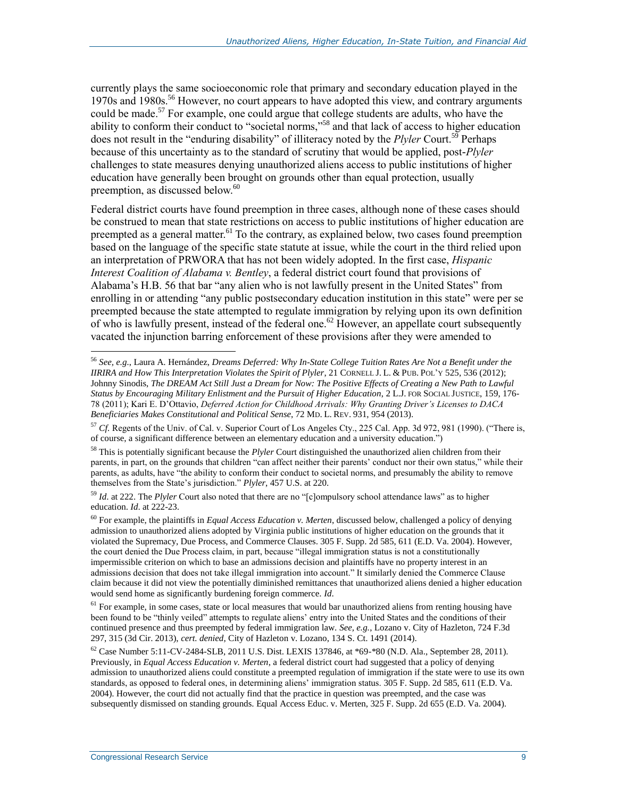currently plays the same socioeconomic role that primary and secondary education played in the 1970s and 1980s.<sup>56</sup> However, no court appears to have adopted this view, and contrary arguments could be made.<sup>57</sup> For example, one could argue that college students are adults, who have the ability to conform their conduct to "societal norms,"<sup>58</sup> and that lack of access to higher education does not result in the "enduring disability" of illiteracy noted by the *Plyler* Court.<sup>59</sup> Perhaps because of this uncertainty as to the standard of scrutiny that would be applied, post-*Plyler*  challenges to state measures denying unauthorized aliens access to public institutions of higher education have generally been brought on grounds other than equal protection, usually preemption, as discussed below.<sup>60</sup>

Federal district courts have found preemption in three cases, although none of these cases should be construed to mean that state restrictions on access to public institutions of higher education are preempted as a general matter.<sup>61</sup> To the contrary, as explained below, two cases found preemption based on the language of the specific state statute at issue, while the court in the third relied upon an interpretation of PRWORA that has not been widely adopted. In the first case, *Hispanic Interest Coalition of Alabama v. Bentley*, a federal district court found that provisions of Alabama's H.B. 56 that bar "any alien who is not lawfully present in the United States" from enrolling in or attending "any public postsecondary education institution in this state" were per se preempted because the state attempted to regulate immigration by relying upon its own definition of who is lawfully present, instead of the federal one.<sup>62</sup> However, an appellate court subsequently vacated the injunction barring enforcement of these provisions after they were amended to

<sup>56</sup> *See, e.g.*, Laura A. Hernández, *Dreams Deferred: Why In-State College Tuition Rates Are Not a Benefit under the IIRIRA and How This Interpretation Violates the Spirit of Plyler*, 21 CORNELL J. L. & PUB. POL'Y 525, 536 (2012); Johnny Sinodis, *The DREAM Act Still Just a Dream for Now: The Positive Effects of Creating a New Path to Lawful Status by Encouraging Military Enlistment and the Pursuit of Higher Education*, 2 L.J. FOR SOCIAL JUSTICE, 159, 176- 78 (2011); Kari E. D'Ottavio, *Deferred Action for Childhood Arrivals: Why Granting Driver's Licenses to DACA Beneficiaries Makes Constitutional and Political Sense*, 72 MD. L. REV. 931, 954 (2013).

<sup>57</sup> *Cf.* Regents of the Univ. of Cal. v. Superior Court of Los Angeles Cty., 225 Cal. App. 3d 972, 981 (1990). ("There is, of course, a significant difference between an elementary education and a university education.")

<sup>58</sup> This is potentially significant because the *Plyler* Court distinguished the unauthorized alien children from their parents, in part, on the grounds that children "can affect neither their parents' conduct nor their own status," while their parents, as adults, have "the ability to conform their conduct to societal norms, and presumably the ability to remove themselves from the State's jurisdiction." *Plyler*, 457 U.S. at 220.

<sup>59</sup> *Id*. at 222. The *Plyler* Court also noted that there are no "[c]ompulsory school attendance laws" as to higher education. *Id*. at 222-23.

<sup>60</sup> For example, the plaintiffs in *Equal Access Education v. Merten*, discussed below, challenged a policy of denying admission to unauthorized aliens adopted by Virginia public institutions of higher education on the grounds that it violated the Supremacy, Due Process, and Commerce Clauses. 305 F. Supp. 2d 585, 611 (E.D. Va. 2004). However, the court denied the Due Process claim, in part, because "illegal immigration status is not a constitutionally impermissible criterion on which to base an admissions decision and plaintiffs have no property interest in an admissions decision that does not take illegal immigration into account." It similarly denied the Commerce Clause claim because it did not view the potentially diminished remittances that unauthorized aliens denied a higher education would send home as significantly burdening foreign commerce. *Id*.

 $<sup>61</sup>$  For example, in some cases, state or local measures that would bar unauthorized aliens from renting housing have</sup> been found to be "thinly veiled" attempts to regulate aliens' entry into the United States and the conditions of their continued presence and thus preempted by federal immigration law. *See, e.g.*, Lozano v. City of Hazleton, 724 F.3d 297, 315 (3d Cir. 2013), *cert. denied*, City of Hazleton v. Lozano, 134 S. Ct. 1491 (2014).

 $^{62}$  Case Number 5:11-CV-2484-SLB, 2011 U.S. Dist. LEXIS 137846, at \*69-\*80 (N.D. Ala., September 28, 2011). Previously, in *Equal Access Education v. Merten*, a federal district court had suggested that a policy of denying admission to unauthorized aliens could constitute a preempted regulation of immigration if the state were to use its own standards, as opposed to federal ones, in determining aliens' immigration status. 305 F. Supp. 2d 585, 611 (E.D. Va. 2004). However, the court did not actually find that the practice in question was preempted, and the case was subsequently dismissed on standing grounds. Equal Access Educ. v. Merten, 325 F. Supp. 2d 655 (E.D. Va. 2004).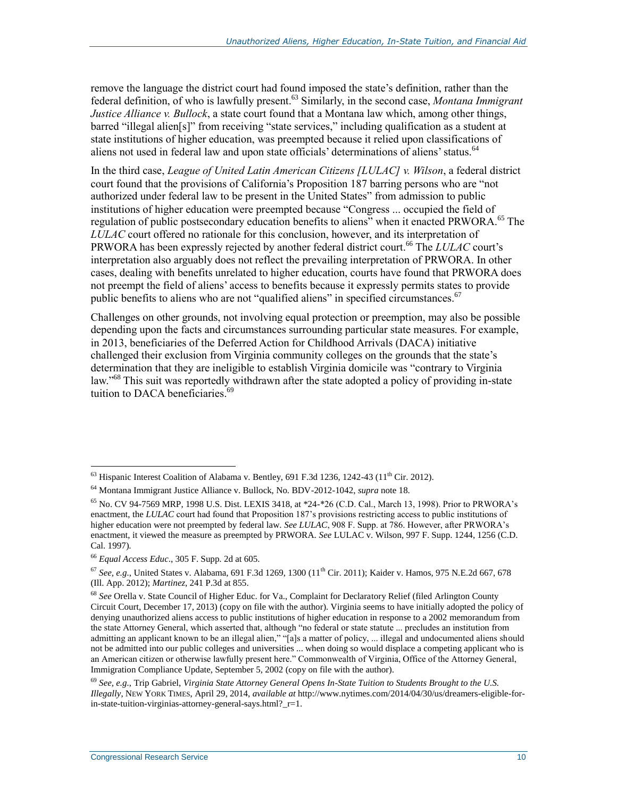remove the language the district court had found imposed the state's definition, rather than the federal definition, of who is lawfully present.<sup>63</sup> Similarly, in the second case, *Montana Immigrant Justice Alliance v. Bullock*, a state court found that a Montana law which, among other things, barred "illegal alien[s]" from receiving "state services," including qualification as a student at state institutions of higher education, was preempted because it relied upon classifications of aliens not used in federal law and upon state officials' determinations of aliens' status.<sup>64</sup>

In the third case, *League of United Latin American Citizens [LULAC] v. Wilson*, a federal district court found that the provisions of California's Proposition 187 barring persons who are "not authorized under federal law to be present in the United States" from admission to public institutions of higher education were preempted because "Congress ... occupied the field of regulation of public postsecondary education benefits to aliens" when it enacted PRWORA.<sup>65</sup> The *LULAC* court offered no rationale for this conclusion, however, and its interpretation of PRWORA has been expressly rejected by another federal district court.<sup>66</sup> The *LULAC* court's interpretation also arguably does not reflect the prevailing interpretation of PRWORA. In other cases, dealing with benefits unrelated to higher education, courts have found that PRWORA does not preempt the field of aliens' access to benefits because it expressly permits states to provide public benefits to aliens who are not "qualified aliens" in specified circumstances.<sup>67</sup>

Challenges on other grounds, not involving equal protection or preemption, may also be possible depending upon the facts and circumstances surrounding particular state measures. For example, in 2013, beneficiaries of the Deferred Action for Childhood Arrivals (DACA) initiative challenged their exclusion from Virginia community colleges on the grounds that the state's determination that they are ineligible to establish Virginia domicile was "contrary to Virginia law."<sup>68</sup> This suit was reportedly withdrawn after the state adopted a policy of providing in-state tuition to DACA beneficiaries.<sup>69</sup>

 $^{63}$  Hispanic Interest Coalition of Alabama v. Bentley, 691 F.3d 1236, 1242-43 (11<sup>th</sup> Cir. 2012).

<sup>64</sup> Montana Immigrant Justice Alliance v. Bullock, No. BDV-2012-1042, *supra* not[e 18.](#page-5-0)

 $^{65}$  No. CV 94-7569 MRP, 1998 U.S. Dist. LEXIS 3418, at  $*24-*26$  (C.D. Cal., March 13, 1998). Prior to PRWORA's enactment, the *LULAC* court had found that Proposition 187's provisions restricting access to public institutions of higher education were not preempted by federal law. *See LULAC*, 908 F. Supp. at 786. However, after PRWORA's enactment, it viewed the measure as preempted by PRWORA. *See* LULAC v. Wilson, 997 F. Supp. 1244, 1256 (C.D. Cal. 1997).

<sup>66</sup> *Equal Access Educ*., 305 F. Supp. 2d at 605.

 $^{67}$  *See, e.g.*, United States v. Alabama, 691 F.3d 1269, 1300 (11<sup>th</sup> Cir. 2011); Kaider v. Hamos, 975 N.E.2d 667, 678 (Ill. App. 2012); *Martinez*, 241 P.3d at 855.

<sup>68</sup> *See* Orella v. State Council of Higher Educ. for Va., Complaint for Declaratory Relief (filed Arlington County Circuit Court, December 17, 2013) (copy on file with the author). Virginia seems to have initially adopted the policy of denying unauthorized aliens access to public institutions of higher education in response to a 2002 memorandum from the state Attorney General, which asserted that, although "no federal or state statute ... precludes an institution from admitting an applicant known to be an illegal alien," "[a]s a matter of policy, ... illegal and undocumented aliens should not be admitted into our public colleges and universities ... when doing so would displace a competing applicant who is an American citizen or otherwise lawfully present here." Commonwealth of Virginia, Office of the Attorney General, Immigration Compliance Update, September 5, 2002 (copy on file with the author).

<sup>69</sup> *See, e.g.*, Trip Gabriel, *Virginia State Attorney General Opens In-State Tuition to Students Brought to the U.S. Illegally*, NEW YORK TIMES, April 29, 2014, *available at* http://www.nytimes.com/2014/04/30/us/dreamers-eligible-forin-state-tuition-virginias-attorney-general-says.html?\_r=1.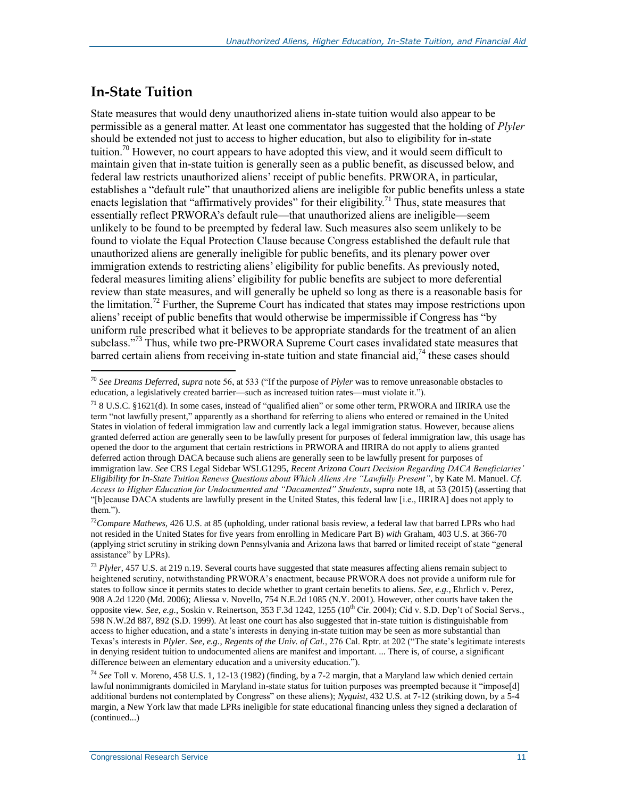#### **In-State Tuition**

State measures that would deny unauthorized aliens in-state tuition would also appear to be permissible as a general matter. At least one commentator has suggested that the holding of *Plyler*  should be extended not just to access to higher education, but also to eligibility for in-state tuition.<sup>70</sup> However, no court appears to have adopted this view, and it would seem difficult to maintain given that in-state tuition is generally seen as a public benefit, as discussed below, and federal law restricts unauthorized aliens' receipt of public benefits. PRWORA, in particular, establishes a "default rule" that unauthorized aliens are ineligible for public benefits unless a state enacts legislation that "affirmatively provides" for their eligibility.<sup>71</sup> Thus, state measures that essentially reflect PRWORA's default rule—that unauthorized aliens are ineligible—seem unlikely to be found to be preempted by federal law. Such measures also seem unlikely to be found to violate the Equal Protection Clause because Congress established the default rule that unauthorized aliens are generally ineligible for public benefits, and its plenary power over immigration extends to restricting aliens' eligibility for public benefits. As previously noted, federal measures limiting aliens' eligibility for public benefits are subject to more deferential review than state measures, and will generally be upheld so long as there is a reasonable basis for the limitation.<sup>72</sup> Further, the Supreme Court has indicated that states may impose restrictions upon aliens' receipt of public benefits that would otherwise be impermissible if Congress has "by uniform rule prescribed what it believes to be appropriate standards for the treatment of an alien subclass."<sup>73</sup> Thus, while two pre-PRWORA Supreme Court cases invalidated state measures that barred certain aliens from receiving in-state tuition and state financial aid,  $^{74}$  these cases should

 $\overline{a}$ <sup>70</sup> *See Dreams Deferred*, *supra* note 56, at 533 ("If the purpose of *Plyler* was to remove unreasonable obstacles to education, a legislatively created barrier—such as increased tuition rates—must violate it.").

<sup>71</sup> 8 U.S.C. §1621(d). In some cases, instead of "qualified alien" or some other term, PRWORA and IIRIRA use the term "not lawfully present," apparently as a shorthand for referring to aliens who entered or remained in the United States in violation of federal immigration law and currently lack a legal immigration status. However, because aliens granted deferred action are generally seen to be lawfully present for purposes of federal immigration law, this usage has opened the door to the argument that certain restrictions in PRWORA and IIRIRA do not apply to aliens granted deferred action through DACA because such aliens are generally seen to be lawfully present for purposes of immigration law. *See* CRS Legal Sidebar WSLG1295, *Recent Arizona Court Decision Regarding DACA Beneficiaries' Eligibility for In-State Tuition Renews Questions about Which Aliens Are "Lawfully Present"*, by Kate M. Manuel. *Cf*. *Access to Higher Education for Undocumented and "Dacamented" Students*, *supra* note 18, at 53 (2015) (asserting that "[b]ecause DACA students are lawfully present in the United States, this federal law [i.e., IIRIRA] does not apply to them.").

<sup>72</sup>*Compare Mathews*, 426 U.S. at 85 (upholding, under rational basis review, a federal law that barred LPRs who had not resided in the United States for five years from enrolling in Medicare Part B) *with* Graham, 403 U.S. at 366-70 (applying strict scrutiny in striking down Pennsylvania and Arizona laws that barred or limited receipt of state "general assistance" by LPRs).

<sup>73</sup> *Plyler*, 457 U.S. at 219 n.19. Several courts have suggested that state measures affecting aliens remain subject to heightened scrutiny, notwithstanding PRWORA's enactment, because PRWORA does not provide a uniform rule for states to follow since it permits states to decide whether to grant certain benefits to aliens. *See, e.g.*, Ehrlich v. Perez, 908 A.2d 1220 (Md. 2006); Aliessa v. Novello, 754 N.E.2d 1085 (N.Y. 2001). However, other courts have taken the opposite view. See, e.g., Soskin v. Reinertson, 353 F.3d 1242, 1255 (10<sup>th</sup> Cir. 2004); Cid v. S.D. Dep't of Social Servs., 598 N.W.2d 887, 892 (S.D. 1999). At least one court has also suggested that in-state tuition is distinguishable from access to higher education, and a state's interests in denying in-state tuition may be seen as more substantial than Texas's interests in *Plyler*. *See, e.g.*, *Regents of the Univ. of Cal.*, 276 Cal. Rptr. at 202 ("The state's legitimate interests in denying resident tuition to undocumented aliens are manifest and important. ... There is, of course, a significant difference between an elementary education and a university education.").

<sup>74</sup> *See* Toll v. Moreno, 458 U.S. 1, 12-13 (1982) (finding, by a 7-2 margin, that a Maryland law which denied certain lawful nonimmigrants domiciled in Maryland in-state status for tuition purposes was preempted because it "impose[d] additional burdens not contemplated by Congress" on these aliens); *Nyquist*, 432 U.S. at 7-12 (striking down, by a 5-4 margin, a New York law that made LPRs ineligible for state educational financing unless they signed a declaration of (continued...)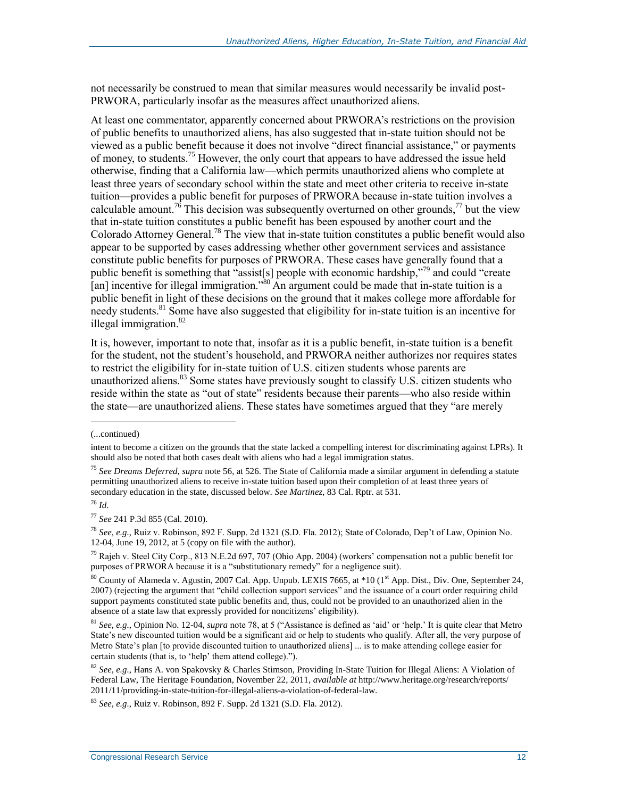not necessarily be construed to mean that similar measures would necessarily be invalid post-PRWORA, particularly insofar as the measures affect unauthorized aliens.

At least one commentator, apparently concerned about PRWORA's restrictions on the provision of public benefits to unauthorized aliens, has also suggested that in-state tuition should not be viewed as a public benefit because it does not involve "direct financial assistance," or payments of money, to students.<sup>75</sup> However, the only court that appears to have addressed the issue held otherwise, finding that a California law—which permits unauthorized aliens who complete at least three years of secondary school within the state and meet other criteria to receive in-state tuition—provides a public benefit for purposes of PRWORA because in-state tuition involves a calculable amount.<sup>76</sup> This decision was subsequently overturned on other grounds,<sup>77</sup> but the view that in-state tuition constitutes a public benefit has been espoused by another court and the Colorado Attorney General.<sup>78</sup> The view that in-state tuition constitutes a public benefit would also appear to be supported by cases addressing whether other government services and assistance constitute public benefits for purposes of PRWORA. These cases have generally found that a public benefit is something that "assist[s] people with economic hardship,"<sup>79</sup> and could "create [an] incentive for illegal immigration."<sup>80</sup> An argument could be made that in-state tuition is a public benefit in light of these decisions on the ground that it makes college more affordable for needy students.<sup>81</sup> Some have also suggested that eligibility for in-state tuition is an incentive for illegal immigration.<sup>82</sup>

It is, however, important to note that, insofar as it is a public benefit, in-state tuition is a benefit for the student, not the student's household, and PRWORA neither authorizes nor requires states to restrict the eligibility for in-state tuition of U.S. citizen students whose parents are unauthorized aliens.<sup>83</sup> Some states have previously sought to classify U.S. citizen students who reside within the state as "out of state" residents because their parents—who also reside within the state—are unauthorized aliens. These states have sometimes argued that they "are merely

<sup>(...</sup>continued)

intent to become a citizen on the grounds that the state lacked a compelling interest for discriminating against LPRs). It should also be noted that both cases dealt with aliens who had a legal immigration status.

<sup>75</sup> *See Dreams Deferred*, *supra* note 56, at 526. The State of California made a similar argument in defending a statute permitting unauthorized aliens to receive in-state tuition based upon their completion of at least three years of secondary education in the state, discussed below. *See Martinez*, 83 Cal. Rptr. at 531.

<sup>76</sup> *Id*.

<sup>77</sup> *See* 241 P.3d 855 (Cal. 2010).

<sup>78</sup> *See, e.g.*, Ruiz v. Robinson, 892 F. Supp. 2d 1321 (S.D. Fla. 2012); State of Colorado, Dep't of Law, Opinion No. 12-04, June 19, 2012, at 5 (copy on file with the author).

<sup>79</sup> Rajeh v. Steel City Corp., 813 N.E.2d 697, 707 (Ohio App. 2004) (workers' compensation not a public benefit for purposes of PRWORA because it is a "substitutionary remedy" for a negligence suit).

<sup>&</sup>lt;sup>80</sup> County of Alameda v. Agustin, 2007 Cal. App. Unpub. LEXIS 7665, at \*10 (1<sup>st</sup> App. Dist., Div. One, September 24, 2007) (rejecting the argument that "child collection support services" and the issuance of a court order requiring child support payments constituted state public benefits and, thus, could not be provided to an unauthorized alien in the absence of a state law that expressly provided for noncitizens' eligibility).

<sup>81</sup> *See, e.g.*, Opinion No. 12-04, *supra* note 78, at 5 ("Assistance is defined as 'aid' or 'help.' It is quite clear that Metro State's new discounted tuition would be a significant aid or help to students who qualify. After all, the very purpose of Metro State's plan [to provide discounted tuition to unauthorized aliens] ... is to make attending college easier for certain students (that is, to 'help' them attend college).").

<sup>82</sup> *See, e.g.*, Hans A. von Spakovsky & Charles Stimson, Providing In-State Tuition for Illegal Aliens: A Violation of Federal Law, The Heritage Foundation, November 22, 2011, *available at* http://www.heritage.org/research/reports/ 2011/11/providing-in-state-tuition-for-illegal-aliens-a-violation-of-federal-law.

<sup>83</sup> *See, e.g.*, Ruiz v. Robinson, 892 F. Supp. 2d 1321 (S.D. Fla. 2012).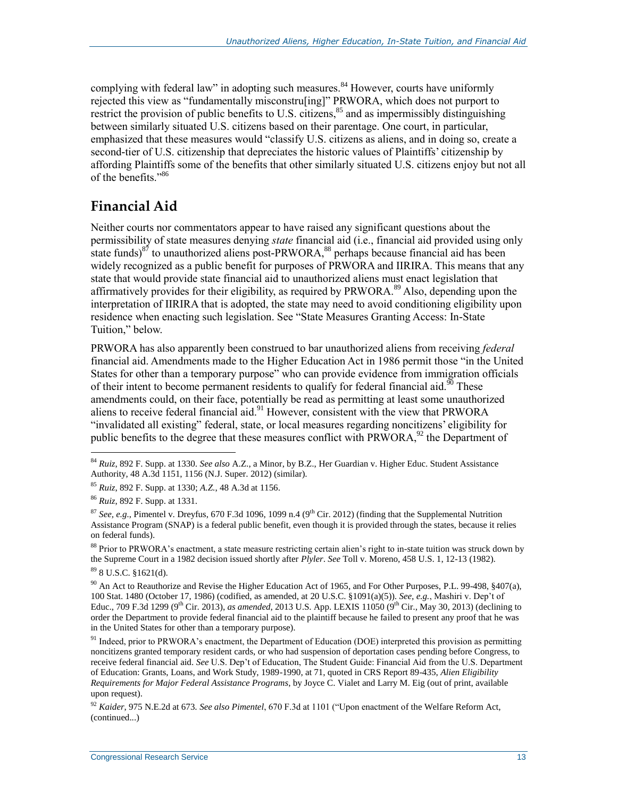complying with federal law" in adopting such measures. $84$  However, courts have uniformly rejected this view as "fundamentally misconstru[ing]" PRWORA, which does not purport to restrict the provision of public benefits to U.S. citizens, $85$  and as impermissibly distinguishing between similarly situated U.S. citizens based on their parentage. One court, in particular, emphasized that these measures would "classify U.S. citizens as aliens, and in doing so, create a second-tier of U.S. citizenship that depreciates the historic values of Plaintiffs' citizenship by affording Plaintiffs some of the benefits that other similarly situated U.S. citizens enjoy but not all of the benefits<sup>"86</sup>

#### **Financial Aid**

Neither courts nor commentators appear to have raised any significant questions about the permissibility of state measures denying *state* financial aid (i.e., financial aid provided using only state funds) $8^{\frac{3}{7}}$  to unauthorized aliens post-PRWORA, $88$  perhaps because financial aid has been widely recognized as a public benefit for purposes of PRWORA and IIRIRA. This means that any state that would provide state financial aid to unauthorized aliens must enact legislation that affirmatively provides for their eligibility, as required by PRWORA.<sup>89</sup> Also, depending upon the interpretation of IIRIRA that is adopted, the state may need to avoid conditioning eligibility upon residence when enacting such legislation. See "State Measures Granting Access: [In-State](#page-17-0)  [Tuition,](#page-17-0)" below.

PRWORA has also apparently been construed to bar unauthorized aliens from receiving *federal* financial aid. Amendments made to the Higher Education Act in 1986 permit those "in the United States for other than a temporary purpose" who can provide evidence from immigration officials of their intent to become permanent residents to qualify for federal financial aid.<sup>90</sup> These amendments could, on their face, potentially be read as permitting at least some unauthorized aliens to receive federal financial aid.<sup>91</sup> However, consistent with the view that PRWORA "invalidated all existing" federal, state, or local measures regarding noncitizens' eligibility for public benefits to the degree that these measures conflict with PRWORA,  $92$  the Department of

<sup>88</sup> Prior to PRWORA's enactment, a state measure restricting certain alien's right to in-state tuition was struck down by the Supreme Court in a 1982 decision issued shortly after *Plyler*. *See* Toll v. Moreno, 458 U.S. 1, 12-13 (1982).

<sup>89</sup> 8 U.S.C. §1621(d).

<sup>84</sup> *Ruiz*, 892 F. Supp. at 1330. *See also* A.Z., a Minor, by B.Z., Her Guardian v. Higher Educ. Student Assistance Authority, 48 A.3d 1151, 1156 (N.J. Super. 2012) (similar).

<sup>85</sup> *Ruiz*, 892 F. Supp. at 1330; *A.Z.*, 48 A.3d at 1156.

<sup>86</sup> *Ruiz*, 892 F. Supp. at 1331.

 $87$  *See, e.g.*, Pimentel v. Dreyfus, 670 F.3d 1096, 1099 n.4 (9<sup>th</sup> Cir. 2012) (finding that the Supplemental Nutrition Assistance Program (SNAP) is a federal public benefit, even though it is provided through the states, because it relies on federal funds).

<sup>&</sup>lt;sup>90</sup> An Act to Reauthorize and Revise the Higher Education Act of 1965, and For Other Purposes, P.L. 99-498, §407(a), 100 Stat. 1480 (October 17, 1986) (codified, as amended, at 20 U.S.C. §1091(a)(5)). *See, e.g.*, Mashiri v. Dep't of Educ., 709 F.3d 1299 (9<sup>th</sup> Cir. 2013), *as amended*, 2013 U.S. App. LEXIS 11050 (9<sup>th</sup> Cir., May 30, 2013) (declining to order the Department to provide federal financial aid to the plaintiff because he failed to present any proof that he was in the United States for other than a temporary purpose).

<sup>&</sup>lt;sup>91</sup> Indeed, prior to PRWORA's enactment, the Department of Education (DOE) interpreted this provision as permitting noncitizens granted temporary resident cards, or who had suspension of deportation cases pending before Congress, to receive federal financial aid. *See* U.S. Dep't of Education, The Student Guide: Financial Aid from the U.S. Department of Education: Grants, Loans, and Work Study, 1989-1990, at 71, quoted in CRS Report 89-435, *Alien Eligibility Requirements for Major Federal Assistance Programs*, by Joyce C. Vialet and Larry M. Eig (out of print, available upon request).

<sup>92</sup> *Kaider*, 975 N.E.2d at 673. *See also Pimentel*, 670 F.3d at 1101 ("Upon enactment of the Welfare Reform Act, (continued...)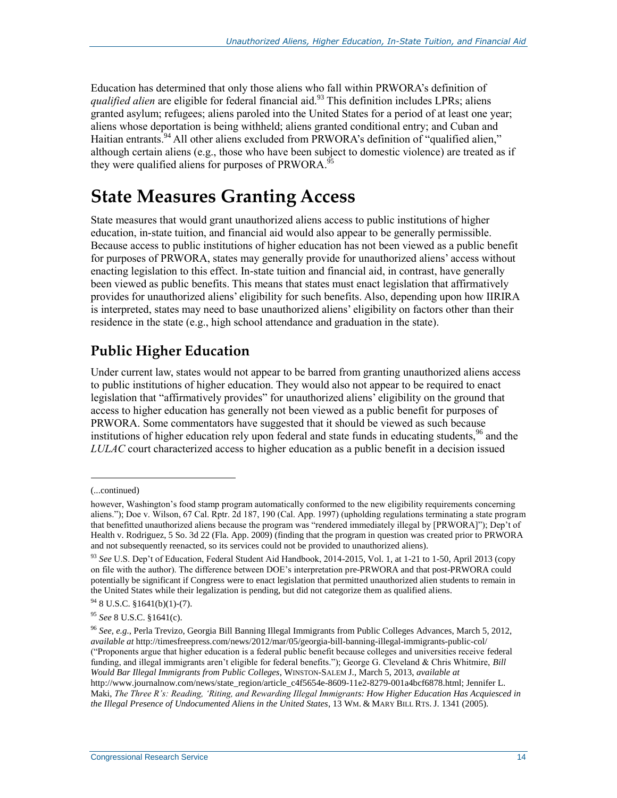Education has determined that only those aliens who fall within PRWORA's definition of *qualified alien* are eligible for federal financial aid.<sup>93</sup> This definition includes LPRs; aliens granted asylum; refugees; aliens paroled into the United States for a period of at least one year; aliens whose deportation is being withheld; aliens granted conditional entry; and Cuban and Haitian entrants.<sup>94</sup> All other aliens excluded from PRWORA's definition of "qualified alien," although certain aliens (e.g., those who have been subject to domestic violence) are treated as if they were qualified aliens for purposes of PRWORA.<sup>95</sup>

# **State Measures Granting Access**

State measures that would grant unauthorized aliens access to public institutions of higher education, in-state tuition, and financial aid would also appear to be generally permissible. Because access to public institutions of higher education has not been viewed as a public benefit for purposes of PRWORA, states may generally provide for unauthorized aliens' access without enacting legislation to this effect. In-state tuition and financial aid, in contrast, have generally been viewed as public benefits. This means that states must enact legislation that affirmatively provides for unauthorized aliens' eligibility for such benefits. Also, depending upon how IIRIRA is interpreted, states may need to base unauthorized aliens' eligibility on factors other than their residence in the state (e.g., high school attendance and graduation in the state).

### **Public Higher Education**

Under current law, states would not appear to be barred from granting unauthorized aliens access to public institutions of higher education. They would also not appear to be required to enact legislation that "affirmatively provides" for unauthorized aliens' eligibility on the ground that access to higher education has generally not been viewed as a public benefit for purposes of PRWORA. Some commentators have suggested that it should be viewed as such because institutions of higher education rely upon federal and state funds in educating students,<sup>96</sup> and the *LULAC* court characterized access to higher education as a public benefit in a decision issued

<sup>(...</sup>continued)

however, Washington's food stamp program automatically conformed to the new eligibility requirements concerning aliens."); Doe v. Wilson, 67 Cal. Rptr. 2d 187, 190 (Cal. App. 1997) (upholding regulations terminating a state program that benefitted unauthorized aliens because the program was "rendered immediately illegal by [PRWORA]"); Dep't of Health v. Rodriguez, 5 So. 3d 22 (Fla. App. 2009) (finding that the program in question was created prior to PRWORA and not subsequently reenacted, so its services could not be provided to unauthorized aliens).

<sup>93</sup> *See* U.S. Dep't of Education, Federal Student Aid Handbook, 2014-2015, Vol. 1, at 1-21 to 1-50, April 2013 (copy on file with the author). The difference between DOE's interpretation pre-PRWORA and that post-PRWORA could potentially be significant if Congress were to enact legislation that permitted unauthorized alien students to remain in the United States while their legalization is pending, but did not categorize them as qualified aliens.

<sup>94</sup> 8 U.S.C. §1641(b)(1)-(7).

<sup>95</sup> *See* 8 U.S.C. §1641(c).

<sup>96</sup> *See, e.g.*, Perla Trevizo, Georgia Bill Banning Illegal Immigrants from Public Colleges Advances, March 5, 2012, *available at* http://timesfreepress.com/news/2012/mar/05/georgia-bill-banning-illegal-immigrants-public-col/ ("Proponents argue that higher education is a federal public benefit because colleges and universities receive federal funding, and illegal immigrants aren't eligible for federal benefits."); George G. Cleveland & Chris Whitmire, *Bill Would Bar Illegal Immigrants from Public Colleges*, WINSTON-SALEM J., March 5, 2013, *available at*  http://www.journalnow.com/news/state\_region/article\_c4f5654e-8609-11e2-8279-001a4bcf6878.html; Jennifer L. Maki, *The Three R's: Reading, 'Riting, and Rewarding Illegal Immigrants: How Higher Education Has Acquiesced in the Illegal Presence of Undocumented Aliens in the United States*, 13 WM. & MARY BILL RTS. J. 1341 (2005).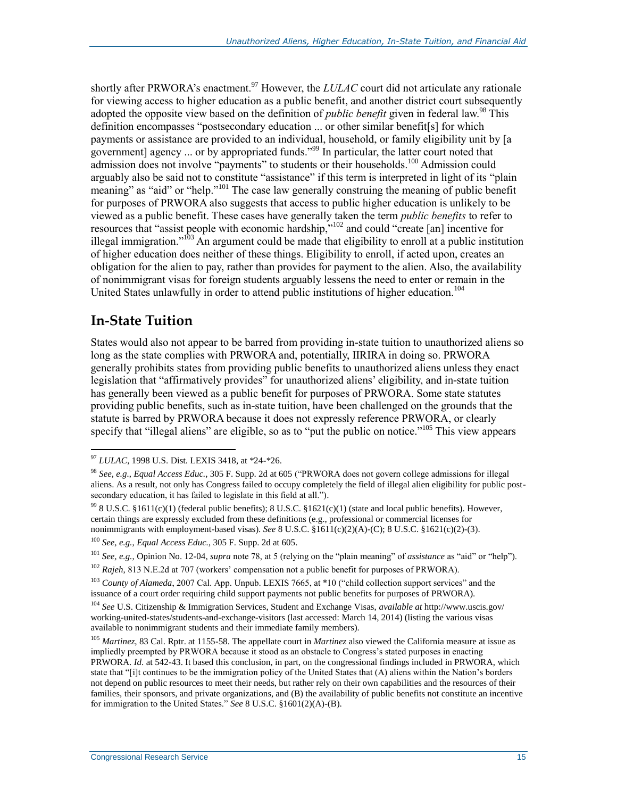shortly after PRWORA's enactment.<sup>97</sup> However, the *LULAC* court did not articulate any rationale for viewing access to higher education as a public benefit, and another district court subsequently adopted the opposite view based on the definition of *public benefit* given in federal law.<sup>98</sup> This definition encompasses "postsecondary education ... or other similar benefit[s] for which payments or assistance are provided to an individual, household, or family eligibility unit by [a government] agency ... or by appropriated funds."<sup>99</sup> In particular, the latter court noted that admission does not involve "payments" to students or their households.<sup>100</sup> Admission could arguably also be said not to constitute "assistance" if this term is interpreted in light of its "plain meaning" as "aid" or "help."<sup>101</sup> The case law generally construing the meaning of public benefit for purposes of PRWORA also suggests that access to public higher education is unlikely to be viewed as a public benefit. These cases have generally taken the term *public benefits* to refer to resources that "assist people with economic hardship,"<sup>102</sup> and could "create [an] incentive for illegal immigration."<sup>103</sup> An argument could be made that eligibility to enroll at a public institution of higher education does neither of these things. Eligibility to enroll, if acted upon, creates an obligation for the alien to pay, rather than provides for payment to the alien. Also, the availability of nonimmigrant visas for foreign students arguably lessens the need to enter or remain in the United States unlawfully in order to attend public institutions of higher education.<sup>104</sup>

#### <span id="page-17-0"></span>**In-State Tuition**

 $\overline{a}$ 

States would also not appear to be barred from providing in-state tuition to unauthorized aliens so long as the state complies with PRWORA and, potentially, IIRIRA in doing so. PRWORA generally prohibits states from providing public benefits to unauthorized aliens unless they enact legislation that "affirmatively provides" for unauthorized aliens' eligibility, and in-state tuition has generally been viewed as a public benefit for purposes of PRWORA. Some state statutes providing public benefits, such as in-state tuition, have been challenged on the grounds that the statute is barred by PRWORA because it does not expressly reference PRWORA, or clearly specify that "illegal aliens" are eligible, so as to "put the public on notice."<sup>105</sup> This view appears

<sup>97</sup> *LULAC*, 1998 U.S. Dist. LEXIS 3418, at \*24-\*26.

<sup>98</sup> *See, e.g.*, *Equal Access Educ.*, 305 F. Supp. 2d at 605 ("PRWORA does not govern college admissions for illegal aliens. As a result, not only has Congress failed to occupy completely the field of illegal alien eligibility for public postsecondary education, it has failed to legislate in this field at all.").

<sup>99</sup> 8 U.S.C. §1611(c)(1) (federal public benefits); 8 U.S.C. §1621(c)(1) (state and local public benefits). However, certain things are expressly excluded from these definitions (e.g., professional or commercial licenses for nonimmigrants with employment-based visas). *See* 8 U.S.C. §1611(c)(2)(A)-(C); 8 U.S.C. §1621(c)(2)-(3).

<sup>100</sup> *See, e.g.*, *Equal Access Educ.*, 305 F. Supp. 2d at 605.

<sup>101</sup> *See, e.g.*, Opinion No. 12-04, *supra* note 78, at 5 (relying on the "plain meaning" of *assistance* as "aid" or "help").

<sup>&</sup>lt;sup>102</sup> *Rajeh*, 813 N.E.2d at 707 (workers' compensation not a public benefit for purposes of PRWORA).

<sup>103</sup> *County of Alameda*, 2007 Cal. App. Unpub. LEXIS 7665, at \*10 ("child collection support services" and the issuance of a court order requiring child support payments not public benefits for purposes of PRWORA).

<sup>104</sup> *See* U.S. Citizenship & Immigration Services, Student and Exchange Visas, *available at* http://www.uscis.gov/ working-united-states/students-and-exchange-visitors (last accessed: March 14, 2014) (listing the various visas available to nonimmigrant students and their immediate family members).

<sup>105</sup> *Martinez*, 83 Cal. Rptr. at 1155-58. The appellate court in *Martinez* also viewed the California measure at issue as impliedly preempted by PRWORA because it stood as an obstacle to Congress's stated purposes in enacting PRWORA. *Id*. at 542-43. It based this conclusion, in part, on the congressional findings included in PRWORA, which state that "[i]t continues to be the immigration policy of the United States that (A) aliens within the Nation's borders not depend on public resources to meet their needs, but rather rely on their own capabilities and the resources of their families, their sponsors, and private organizations, and (B) the availability of public benefits not constitute an incentive for immigration to the United States." *See* 8 U.S.C. §1601(2)(A)-(B).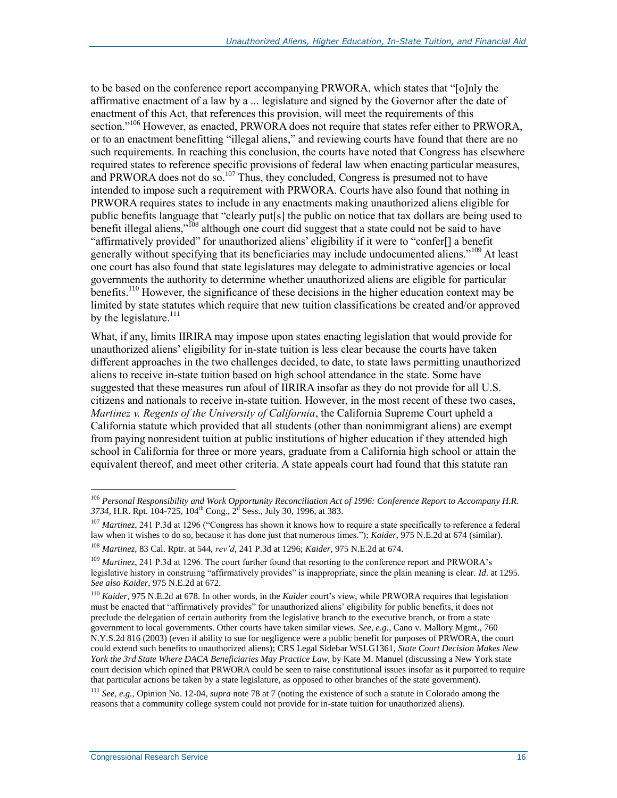to be based on the conference report accompanying PRWORA, which states that "[o]nly the affirmative enactment of a law by a ... legislature and signed by the Governor after the date of enactment of this Act, that references this provision, will meet the requirements of this section."<sup>106</sup> However, as enacted, PRWORA does not require that states refer either to PRWORA, or to an enactment benefitting "illegal aliens," and reviewing courts have found that there are no such requirements. In reaching this conclusion, the courts have noted that Congress has elsewhere required states to reference specific provisions of federal law when enacting particular measures, and PRWORA does not do so.<sup>107</sup> Thus, they concluded, Congress is presumed not to have intended to impose such a requirement with PRWORA. Courts have also found that nothing in PRWORA requires states to include in any enactments making unauthorized aliens eligible for public benefits language that "clearly put[s] the public on notice that tax dollars are being used to benefit illegal aliens,"<sup>108</sup> although one court did suggest that a state could not be said to have "affirmatively provided" for unauthorized aliens' eligibility if it were to "confer[] a benefit generally without specifying that its beneficiaries may include undocumented aliens."<sup>109</sup> At least one court has also found that state legislatures may delegate to administrative agencies or local governments the authority to determine whether unauthorized aliens are eligible for particular benefits.<sup>110</sup> However, the significance of these decisions in the higher education context may be limited by state statutes which require that new tuition classifications be created and/or approved by the legislature. $^{111}$ 

What, if any, limits IIRIRA may impose upon states enacting legislation that would provide for unauthorized aliens' eligibility for in-state tuition is less clear because the courts have taken different approaches in the two challenges decided, to date, to state laws permitting unauthorized aliens to receive in-state tuition based on high school attendance in the state. Some have suggested that these measures run afoul of IIRIRA insofar as they do not provide for all U.S. citizens and nationals to receive in-state tuition. However, in the most recent of these two cases, *Martinez v. Regents of the University of California*, the California Supreme Court upheld a California statute which provided that all students (other than nonimmigrant aliens) are exempt from paying nonresident tuition at public institutions of higher education if they attended high school in California for three or more years, graduate from a California high school or attain the equivalent thereof, and meet other criteria. A state appeals court had found that this statute ran

 $\overline{a}$ <sup>106</sup> *Personal Responsibility and Work Opportunity Reconciliation Act of 1996: Conference Report to Accompany H.R.* 3734, H.R. Rpt. 104-725, 104<sup>th</sup> Cong., 2<sup>d</sup> Sess., July 30, 1996, at 383.

<sup>107</sup> *Martinez*, 241 P.3d at 1296 ("Congress has shown it knows how to require a state specifically to reference a federal law when it wishes to do so, because it has done just that numerous times."); *Kaider*, 975 N.E.2d at 674 (similar).

<sup>108</sup> *Martinez*, 83 Cal. Rptr. at 544, *rev'd*, 241 P.3d at 1296; *Kaider*, 975 N.E.2d at 674.

<sup>&</sup>lt;sup>109</sup> *Martinez*, 241 P.3d at 1296. The court further found that resorting to the conference report and PRWORA's legislative history in construing "affirmatively provides" is inappropriate, since the plain meaning is clear. *Id*. at 1295. *See also Kaider*, 975 N.E.2d at 672.

<sup>110</sup> *Kaider*, 975 N.E.2d at 678. In other words, in the *Kaider* court's view, while PRWORA requires that legislation must be enacted that "affirmatively provides" for unauthorized aliens' eligibility for public benefits, it does not preclude the delegation of certain authority from the legislative branch to the executive branch, or from a state government to local governments. Other courts have taken similar views. *See, e.g.*, Cano v. Mallory Mgmt., 760 N.Y.S.2d 816 (2003) (even if ability to sue for negligence were a public benefit for purposes of PRWORA, the court could extend such benefits to unauthorized aliens); CRS Legal Sidebar WSLG1361, *State Court Decision Makes New York the 3rd State Where DACA Beneficiaries May Practice Law*, by Kate M. Manuel (discussing a New York state court decision which opined that PRWORA could be seen to raise constitutional issues insofar as it purported to require that particular actions be taken by a state legislature, as opposed to other branches of the state government).

<sup>111</sup> *See, e.g.*, Opinion No. 12-04, *supra* note 78 at 7 (noting the existence of such a statute in Colorado among the reasons that a community college system could not provide for in-state tuition for unauthorized aliens).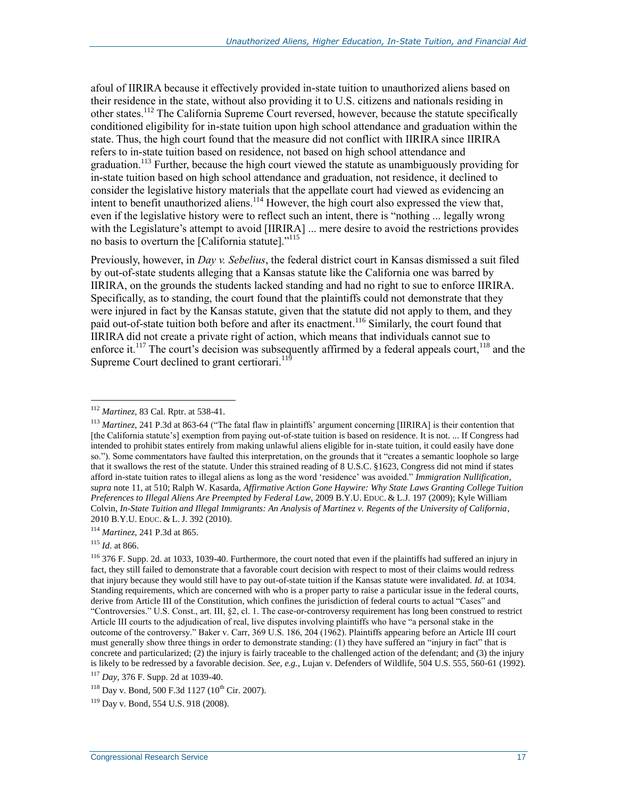afoul of IIRIRA because it effectively provided in-state tuition to unauthorized aliens based on their residence in the state, without also providing it to U.S. citizens and nationals residing in other states.<sup>112</sup> The California Supreme Court reversed, however, because the statute specifically conditioned eligibility for in-state tuition upon high school attendance and graduation within the state. Thus, the high court found that the measure did not conflict with IIRIRA since IIRIRA refers to in-state tuition based on residence, not based on high school attendance and graduation.<sup>113</sup> Further, because the high court viewed the statute as unambiguously providing for in-state tuition based on high school attendance and graduation, not residence, it declined to consider the legislative history materials that the appellate court had viewed as evidencing an intent to benefit unauthorized aliens.<sup>114</sup> However, the high court also expressed the view that, even if the legislative history were to reflect such an intent, there is "nothing ... legally wrong with the Legislature's attempt to avoid [IIRIRA] ... mere desire to avoid the restrictions provides no basis to overturn the [California statute]."<sup>115</sup>

<span id="page-19-0"></span>Previously, however, in *Day v. Sebelius*, the federal district court in Kansas dismissed a suit filed by out-of-state students alleging that a Kansas statute like the California one was barred by IIRIRA, on the grounds the students lacked standing and had no right to sue to enforce IIRIRA. Specifically, as to standing, the court found that the plaintiffs could not demonstrate that they were injured in fact by the Kansas statute, given that the statute did not apply to them, and they paid out-of-state tuition both before and after its enactment.<sup>116</sup> Similarly, the court found that IIRIRA did not create a private right of action, which means that individuals cannot sue to enforce it.<sup>117</sup> The court's decision was subsequently affirmed by a federal appeals court,<sup>118</sup> and the Supreme Court declined to grant certiorari.<sup>119</sup>

<sup>112</sup> *Martinez*, 83 Cal. Rptr. at 538-41.

<sup>113</sup> *Martinez*, 241 P.3d at 863-64 ("The fatal flaw in plaintiffs' argument concerning [IIRIRA] is their contention that [the California statute's] exemption from paying out-of-state tuition is based on residence. It is not. ... If Congress had intended to prohibit states entirely from making unlawful aliens eligible for in-state tuition, it could easily have done so."). Some commentators have faulted this interpretation, on the grounds that it "creates a semantic loophole so large that it swallows the rest of the statute. Under this strained reading of 8 U.S.C. §1623, Congress did not mind if states afford in-state tuition rates to illegal aliens as long as the word 'residence' was avoided." *Immigration Nullification*, *supra* note 11, at 510; Ralph W. Kasarda, *Affirmative Action Gone Haywire: Why State Laws Granting College Tuition Preferences to Illegal Aliens Are Preempted by Federal Law*, 2009 B.Y.U. EDUC. & L.J. 197 (2009); Kyle William Colvin, *In-State Tuition and Illegal Immigrants: An Analysis of Martinez v. Regents of the University of California*, 2010 B.Y.U. EDUC. & L. J. 392 (2010).

<sup>114</sup> *Martinez*, 241 P.3d at 865.

<sup>115</sup> *Id*. at 866.

 $116$  376 F. Supp. 2d. at 1033, 1039-40. Furthermore, the court noted that even if the plaintiffs had suffered an injury in fact, they still failed to demonstrate that a favorable court decision with respect to most of their claims would redress that injury because they would still have to pay out-of-state tuition if the Kansas statute were invalidated. *Id*. at 1034. Standing requirements, which are concerned with who is a proper party to raise a particular issue in the federal courts, derive from Article III of the Constitution, which confines the jurisdiction of federal courts to actual "Cases" and "Controversies." U.S. Const., art. III, §2, cl. 1. The case-or-controversy requirement has long been construed to restrict Article III courts to the adjudication of real, live disputes involving plaintiffs who have "a personal stake in the outcome of the controversy." Baker v. Carr, 369 U.S. 186, 204 (1962). Plaintiffs appearing before an Article III court must generally show three things in order to demonstrate standing: (1) they have suffered an "injury in fact" that is concrete and particularized; (2) the injury is fairly traceable to the challenged action of the defendant; and (3) the injury is likely to be redressed by a favorable decision. *See, e.g.*, Lujan v. Defenders of Wildlife, 504 U.S. 555, 560-61 (1992).

<sup>117</sup> *Day*, 376 F. Supp. 2d at 1039-40.

<sup>&</sup>lt;sup>118</sup> Day v. Bond, 500 F.3d 1127 (10<sup>th</sup> Cir. 2007).

<sup>119</sup> Day v. Bond, 554 U.S. 918 (2008).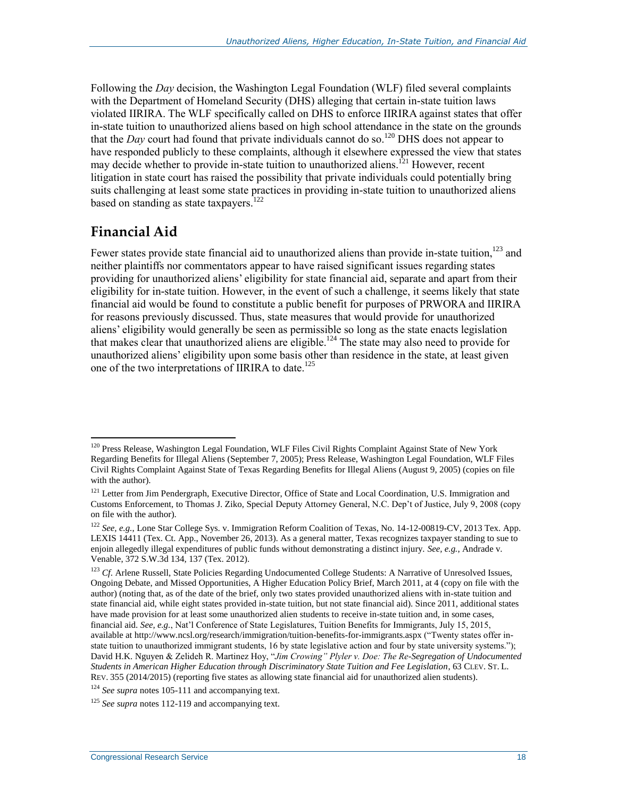Following the *Day* decision, the Washington Legal Foundation (WLF) filed several complaints with the Department of Homeland Security (DHS) alleging that certain in-state tuition laws violated IIRIRA. The WLF specifically called on DHS to enforce IIRIRA against states that offer in-state tuition to unauthorized aliens based on high school attendance in the state on the grounds that the *Day* court had found that private individuals cannot do so.<sup>120</sup> DHS does not appear to have responded publicly to these complaints, although it elsewhere expressed the view that states may decide whether to provide in-state tuition to unauthorized aliens.<sup>121</sup> However, recent litigation in state court has raised the possibility that private individuals could potentially bring suits challenging at least some state practices in providing in-state tuition to unauthorized aliens based on standing as state taxpayers.<sup>122</sup>

#### **Financial Aid**

 $\overline{a}$ 

Fewer states provide state financial aid to unauthorized aliens than provide in-state tuition,  $123$  and neither plaintiffs nor commentators appear to have raised significant issues regarding states providing for unauthorized aliens' eligibility for state financial aid, separate and apart from their eligibility for in-state tuition. However, in the event of such a challenge, it seems likely that state financial aid would be found to constitute a public benefit for purposes of PRWORA and IIRIRA for reasons previously discussed. Thus, state measures that would provide for unauthorized aliens' eligibility would generally be seen as permissible so long as the state enacts legislation that makes clear that unauthorized aliens are eligible.<sup>124</sup> The state may also need to provide for unauthorized aliens' eligibility upon some basis other than residence in the state, at least given one of the two interpretations of IIRIRA to date.<sup>125</sup>

<sup>&</sup>lt;sup>120</sup> Press Release, Washington Legal Foundation, WLF Files Civil Rights Complaint Against State of New York Regarding Benefits for Illegal Aliens (September 7, 2005); Press Release, Washington Legal Foundation, WLF Files Civil Rights Complaint Against State of Texas Regarding Benefits for Illegal Aliens (August 9, 2005) (copies on file with the author).

<sup>&</sup>lt;sup>121</sup> Letter from Jim Pendergraph, Executive Director, Office of State and Local Coordination, U.S. Immigration and Customs Enforcement, to Thomas J. Ziko, Special Deputy Attorney General, N.C. Dep't of Justice, July 9, 2008 (copy on file with the author).

<sup>&</sup>lt;sup>122</sup> See, e.g., Lone Star College Sys. v. Immigration Reform Coalition of Texas, No. 14-12-00819-CV, 2013 Tex. App. LEXIS 14411 (Tex. Ct. App., November 26, 2013). As a general matter, Texas recognizes taxpayer standing to sue to enjoin allegedly illegal expenditures of public funds without demonstrating a distinct injury. *See, e.g.*, Andrade v. Venable, 372 S.W.3d 134, 137 (Tex. 2012).

<sup>&</sup>lt;sup>123</sup> *Cf.* Arlene Russell, State Policies Regarding Undocumented College Students: A Narrative of Unresolved Issues, Ongoing Debate, and Missed Opportunities, A Higher Education Policy Brief, March 2011, at 4 (copy on file with the author) (noting that, as of the date of the brief, only two states provided unauthorized aliens with in-state tuition and state financial aid, while eight states provided in-state tuition, but not state financial aid). Since 2011, additional states have made provision for at least some unauthorized alien students to receive in-state tuition and, in some cases, financial aid. *See, e.g.*, Nat'l Conference of State Legislatures, Tuition Benefits for Immigrants, July 15, 2015, available at http://www.ncsl.org/research/immigration/tuition-benefits-for-immigrants.aspx ("Twenty states offer instate tuition to unauthorized immigrant students, 16 by state legislative action and four by state university systems."); David H.K. Nguyen & Zelideh R. Martinez Hoy, "*Jim Crowing" Plyler v. Doe: The Re-Segregation of Undocumented Students in American Higher Education through Discriminatory State Tuition and Fee Legislation*, 63 CLEV. ST. L. REV. 355 (2014/2015) (reporting five states as allowing state financial aid for unauthorized alien students).

<sup>124</sup> *See supra* notes 105-111 and accompanying text.

<sup>125</sup> *See supra* notes 112-119 and accompanying text.